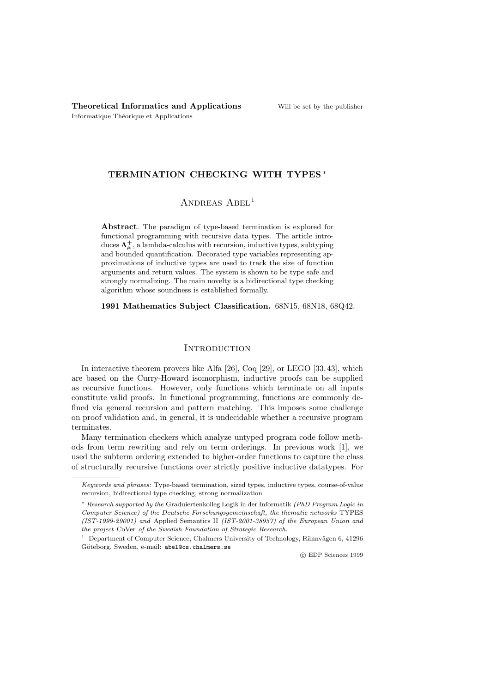## TERMINATION CHECKING WITH TYPES <sup>∗</sup>

## ANDREAS ABEL<sup>1</sup>

Abstract. The paradigm of type-based termination is explored for functional programming with recursive data types. The article introduces  $\Lambda^+_\mu$ , a lambda-calculus with recursion, inductive types, subtyping and bounded quantification. Decorated type variables representing approximations of inductive types are used to track the size of function arguments and return values. The system is shown to be type safe and strongly normalizing. The main novelty is a bidirectional type checking algorithm whose soundness is established formally.

1991 Mathematics Subject Classification. 68N15, 68N18, 68Q42.

#### **INTRODUCTION**

In interactive theorem provers like Alfa [26], Coq [29], or LEGO [33, 43], which are based on the Curry-Howard isomorphism, inductive proofs can be supplied as recursive functions. However, only functions which terminate on all inputs constitute valid proofs. In functional programming, functions are commonly defined via general recursion and pattern matching. This imposes some challenge on proof validation and, in general, it is undecidable whether a recursive program terminates.

Many termination checkers which analyze untyped program code follow methods from term rewriting and rely on term orderings. In previous work [1], we used the subterm ordering extended to higher-order functions to capture the class of structurally recursive functions over strictly positive inductive datatypes. For

c EDP Sciences 1999

Keywords and phrases: Type-based termination, sized types, inductive types, course-of-value recursion, bidirectional type checking, strong normalization

<sup>∗</sup> Research supported by the Graduiertenkolleg Logik in der Informatik (PhD Program Logic in Computer Science) of the Deutsche Forschungsgemeinschaft, the thematic networks TYPES (IST-1999-29001) and Applied Semantics II (IST-2001-38957) of the European Union and the project CoVer of the Swedish Foundation of Strategic Research.

<sup>&</sup>lt;sup>1</sup> Department of Computer Science, Chalmers University of Technology, Rännvägen 6, 41296 Göteborg, Sweden, e-mail: abel@cs.chalmers.se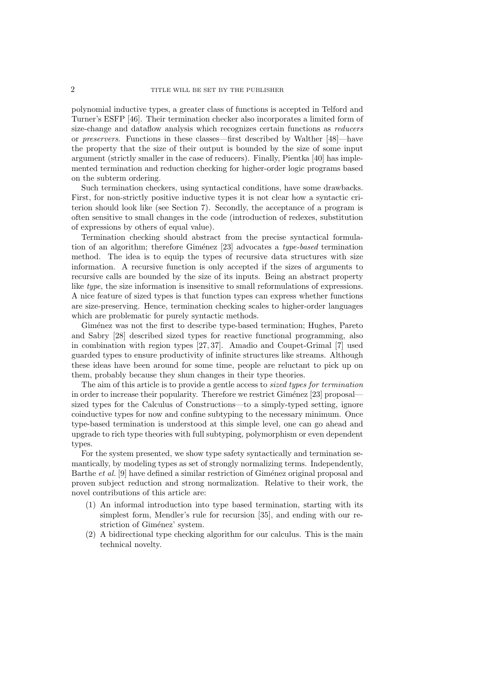polynomial inductive types, a greater class of functions is accepted in Telford and Turner's ESFP [46]. Their termination checker also incorporates a limited form of size-change and dataflow analysis which recognizes certain functions as reducers or preservers. Functions in these classes—first described by Walther [48]—have the property that the size of their output is bounded by the size of some input argument (strictly smaller in the case of reducers). Finally, Pientka [40] has implemented termination and reduction checking for higher-order logic programs based on the subterm ordering.

Such termination checkers, using syntactical conditions, have some drawbacks. First, for non-strictly positive inductive types it is not clear how a syntactic criterion should look like (see Section 7). Secondly, the acceptance of a program is often sensitive to small changes in the code (introduction of redexes, substitution of expressions by others of equal value).

Termination checking should abstract from the precise syntactical formulation of an algorithm; therefore Giménez  $[23]$  advocates a type-based termination method. The idea is to equip the types of recursive data structures with size information. A recursive function is only accepted if the sizes of arguments to recursive calls are bounded by the size of its inputs. Being an abstract property like type, the size information is insensitive to small reformulations of expressions. A nice feature of sized types is that function types can express whether functions are size-preserving. Hence, termination checking scales to higher-order languages which are problematic for purely syntactic methods.

Giménez was not the first to describe type-based termination; Hughes, Pareto and Sabry [28] described sized types for reactive functional programming, also in combination with region types [27, 37]. Amadio and Coupet-Grimal [7] used guarded types to ensure productivity of infinite structures like streams. Although these ideas have been around for some time, people are reluctant to pick up on them, probably because they shun changes in their type theories.

The aim of this article is to provide a gentle access to sized types for termination in order to increase their popularity. Therefore we restrict  $G$ iménez [23] proposal sized types for the Calculus of Constructions—to a simply-typed setting, ignore coinductive types for now and confine subtyping to the necessary minimum. Once type-based termination is understood at this simple level, one can go ahead and upgrade to rich type theories with full subtyping, polymorphism or even dependent types.

For the system presented, we show type safety syntactically and termination semantically, by modeling types as set of strongly normalizing terms. Independently, Barthe *et al.* [9] have defined a similar restriction of Giménez original proposal and proven subject reduction and strong normalization. Relative to their work, the novel contributions of this article are:

- (1) An informal introduction into type based termination, starting with its simplest form, Mendler's rule for recursion [35], and ending with our restriction of Giménez' system.
- (2) A bidirectional type checking algorithm for our calculus. This is the main technical novelty.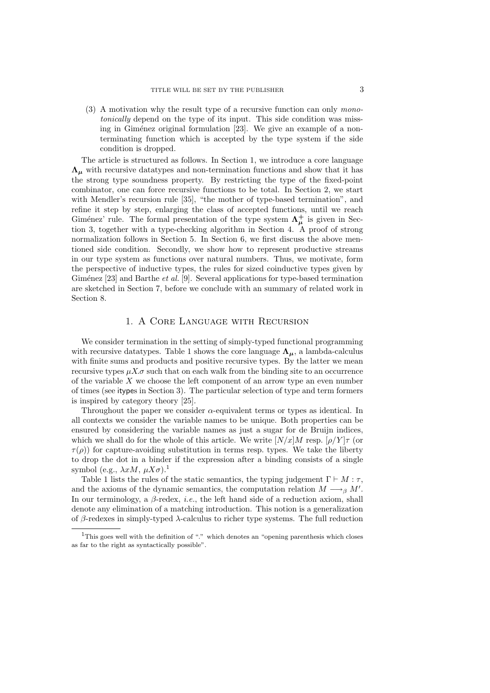(3) A motivation why the result type of a recursive function can only monotonically depend on the type of its input. This side condition was missing in Giménez original formulation  $[23]$ . We give an example of a nonterminating function which is accepted by the type system if the side condition is dropped.

The article is structured as follows. In Section 1, we introduce a core language  $\Lambda_{\mu}$  with recursive datatypes and non-termination functions and show that it has the strong type soundness property. By restricting the type of the fixed-point combinator, one can force recursive functions to be total. In Section 2, we start with Mendler's recursion rule [35], "the mother of type-based termination", and refine it step by step, enlarging the class of accepted functions, until we reach Giménez' rule. The formal presentation of the type system  $\Lambda^{\dagger}_{\mu}$  is given in Section 3, together with a type-checking algorithm in Section 4. A proof of strong normalization follows in Section 5. In Section 6, we first discuss the above mentioned side condition. Secondly, we show how to represent productive streams in our type system as functions over natural numbers. Thus, we motivate, form the perspective of inductive types, the rules for sized coinductive types given by Giménez  $[23]$  and Barthe *et al.* [9]. Several applications for type-based termination are sketched in Section 7, before we conclude with an summary of related work in Section 8.

#### 1. A Core Language with Recursion

We consider termination in the setting of simply-typed functional programming with recursive datatypes. Table 1 shows the core language  $\Lambda_{\mu}$ , a lambda-calculus with finite sums and products and positive recursive types. By the latter we mean recursive types  $\mu X.\sigma$  such that on each walk from the binding site to an occurrence of the variable  $X$  we choose the left component of an arrow type an even number of times (see itypes in Section 3). The particular selection of type and term formers is inspired by category theory [25].

Throughout the paper we consider  $\alpha$ -equivalent terms or types as identical. In all contexts we consider the variable names to be unique. Both properties can be ensured by considering the variable names as just a sugar for de Bruijn indices, which we shall do for the whole of this article. We write  $[N/x]M$  resp.  $[\rho/Y]\tau$  (or  $\tau(\rho)$ ) for capture-avoiding substitution in terms resp. types. We take the liberty to drop the dot in a binder if the expression after a binding consists of a single symbol (e.g.,  $\lambda x M$ ,  $\mu X \sigma$ ).<sup>1</sup>

Table 1 lists the rules of the static semantics, the typing judgement  $\Gamma \vdash M : \tau$ , and the axioms of the dynamic semantics, the computation relation  $M \longrightarrow_{\beta} M'$ . In our terminology, a  $\beta$ -redex, *i.e.*, the left hand side of a reduction axiom, shall denote any elimination of a matching introduction. This notion is a generalization of β-redexes in simply-typed  $\lambda$ -calculus to richer type systems. The full reduction

<sup>&</sup>lt;sup>1</sup>This goes well with the definition of "." which denotes an "opening parenthesis which closes as far to the right as syntactically possible".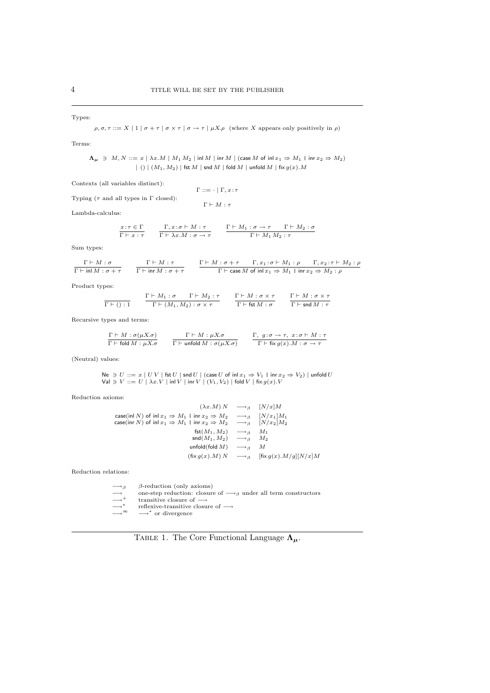#### Types:

 $\rho, \sigma, \tau ::= X \mid 1 \mid \sigma + \tau \mid \sigma \times \tau \mid \sigma \rightarrow \tau \mid \mu X. \rho$  (where X appears only positively in  $\rho$ )

Terms:

 $\Lambda_{\mu} \ni M, N ::= x \mid \lambda x.M \mid M_1 M_2 \mid \text{inl } M \mid \text{for } M \mid (\text{case } M \text{ of } \text{inl } x_1 \Rightarrow M_1 \mid \text{inr } x_2 \Rightarrow M_2)$  $|( ) | (M_1, M_2) |$  fst  $M |$  snd  $M |$  fold  $M |$  unfold  $M |$  fix  $g(x) . M$ 

Contexts (all variables distinct):

|                                                    | $\Gamma ::= \cdot   \Gamma, x : \tau$ |
|----------------------------------------------------|---------------------------------------|
| Typing ( $\tau$ and all types in $\Gamma$ closed): |                                       |
|                                                    | $\Gamma \vdash M : \tau$              |

Lambda-calculus:

$$
\frac{x:\tau\in\Gamma}{\Gamma\vdash x:\tau} \qquad \frac{\Gamma,x:\sigma\vdash M:\tau}{\Gamma\vdash \lambda x.M:\sigma\to\tau} \qquad \frac{\Gamma\vdash M_1:\sigma\to\tau\qquad\Gamma\vdash M_2:\sigma}{\Gamma\vdash M_1\,M_2:\tau}
$$

Sum types:

| $\Gamma \vdash M : \sigma$               | $\Gamma \vdash M : \tau$                        | $\Gamma \vdash M : \sigma + \tau$ $\Gamma, x_1 : \sigma \vdash M_1 : \rho$ $\Gamma, x_2 : \tau \vdash M_2 : \rho$ |  |
|------------------------------------------|-------------------------------------------------|-------------------------------------------------------------------------------------------------------------------|--|
| $\Gamma$ $\vdash$ in $M : \sigma + \tau$ | $\Gamma \vdash \mathsf{inr}\,M : \sigma + \tau$ | $\Gamma \vdash$ case M of inl $x_1 \Rightarrow M_1 \perp$ inr $x_2 \Rightarrow M_2 : \rho$                        |  |

Product types:

$$
\frac{\Gamma \vdash M : \sigma \qquad \Gamma \vdash M_2 : \tau \qquad \Gamma \vdash M : \sigma \times \tau}{\Gamma \vdash (M_1, M_2) : \sigma \times \tau} \qquad \frac{\Gamma \vdash M : \sigma \times \tau}{\Gamma \vdash \mathsf{fst} M : \sigma} \qquad \frac{\Gamma \vdash M : \sigma \times \tau}{\Gamma \vdash \mathsf{snd} M : \tau}
$$

Recursive types and terms:

| $\Gamma \vdash M : \sigma(\mu X. \sigma)$ | $\Gamma \vdash M : \mu X. \sigma$                  | $\Gamma, g: \sigma \to \tau, x: \sigma \vdash M: \tau$     |
|-------------------------------------------|----------------------------------------------------|------------------------------------------------------------|
| $\Gamma \vdash$ fold $M : \mu X. \sigma$  | $\Gamma \vdash$ unfold $M : \sigma(\mu X. \sigma)$ | $\Gamma \vdash$ fix $g(x)$ . $M : \sigma \rightarrow \tau$ |

(Neutral) values:

$$
\begin{array}{l} \mathsf{Ne} \ni U ::= x \mid U \mid \mathsf{fst} \ U \mid \mathsf{snd} \ U \mid (\mathsf{case} \ U \ \mathsf{of} \ \mathsf{inl} \ x_1 \Rightarrow V_1 \ \mathsf{linr} \ x_2 \Rightarrow V_2) \mid \mathsf{unfold} \ U \\ \mathsf{Val} \ni V ::= U \mid \lambda x . V \mid \mathsf{inl} \ V \mid \mathsf{irr} \ V \mid (V_1, V_2) \mid \mathsf{fold} \ V \mid \mathsf{fix} \ g(x) . V \end{array}
$$

Reduction axioms:

$$
(\lambda x.M) N \longrightarrow_{\beta} [N/x] M
$$
  
\n
$$
\cose(\text{in } N) \text{ of } \text{in } x_1 \Rightarrow M_1 \mid \text{in } x_2 \Rightarrow M_2 \longrightarrow_{\beta} [N/x_1] M_1
$$
  
\n
$$
\cose(\text{in } N) \text{ of } \text{in } x_1 \Rightarrow M_1 \mid \text{in } x_2 \Rightarrow M_2 \longrightarrow_{\beta} [N/x_2] M_2
$$
  
\n
$$
\qquad \qquad \text{fst}(M_1, M_2) \longrightarrow_{\beta} M_1
$$
  
\n
$$
\qquad \qquad \text{snf}(M_1, M_2) \longrightarrow_{\beta} M_2
$$
  
\n
$$
\qquad \qquad \text{unfold}(\text{fold } M) \longrightarrow_{\beta} M
$$
  
\n
$$
(\text{fix } g(x).M) N \longrightarrow_{\beta} [\text{fix } g(x).M/g][N/x] M
$$

Reduction relations:

- $\beta$ -reduction (only axioms)
- → one-step reduction: closure of → β under all term constructors<br>
→+ transitive closure of →<br>
→ \* treflexive-transitive closure of →<br>
→ ∞ −→ \* or divergence
- 
- −→<sup>∗</sup>
	-

TABLE 1. The Core Functional Language  $\Lambda_{\mu}$ .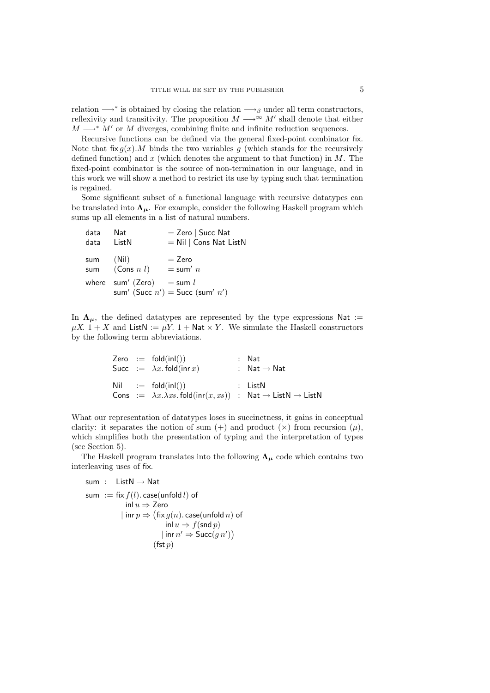relation  $\longrightarrow^*$  is obtained by closing the relation  $\longrightarrow_{\beta}$  under all term constructors, reflexivity and transitivity. The proposition  $M \longrightarrow^{\infty} M'$  shall denote that either  $M \longrightarrow^* M'$  or M diverges, combining finite and infinite reduction sequences.

Recursive functions can be defined via the general fixed-point combinator fix. Note that fix  $g(x)$ . M binds the two variables g (which stands for the recursively defined function) and  $x$  (which denotes the argument to that function) in  $M$ . The fixed-point combinator is the source of non-termination in our language, and in this work we will show a method to restrict its use by typing such that termination is regained.

Some significant subset of a functional language with recursive datatypes can be translated into  $\Lambda_{\mu}$ . For example, consider the following Haskell program which sums up all elements in a list of natural numbers.

| data<br>data ListN | - Nat                       | $=$ Zero   Succ Nat<br>$=$ Nil   Cons Nat ListN |
|--------------------|-----------------------------|-------------------------------------------------|
| sum                | (Nil)<br>sum $(Cons n l)$   | $=$ Zero<br>$=$ sum' $n$                        |
|                    | where sum' (Zero) = sum $l$ | sum' (Succ $n'$ ) = Succ (sum' $n'$ )           |

In  $\Lambda_{\mu}$ , the defined datatypes are represented by the type expressions Nat :=  $\mu X$ . 1 + X and ListN :=  $\mu Y$ . 1 + Nat × Y. We simulate the Haskell constructors by the following term abbreviations.

|  | Zero $:=$ fold $(inl())$                                                                                 | : Nat                   |
|--|----------------------------------------------------------------------------------------------------------|-------------------------|
|  | Succ $:= \lambda x$ fold(inr x)                                                                          | : $Nat \rightarrow Nat$ |
|  | $Nil \quad := \quad \text{fold}(inl())$                                                                  | $:$ ListN               |
|  | Cons := $\lambda x.\lambda xs.$ fold $(\text{inr}(x, xs))$ : Nat $\rightarrow$ ListN $\rightarrow$ ListN |                         |

What our representation of datatypes loses in succinctness, it gains in conceptual clarity: it separates the notion of sum  $(+)$  and product  $(x)$  from recursion  $(\mu)$ , which simplifies both the presentation of typing and the interpretation of types (see Section 5).

The Haskell program translates into the following  $\Lambda_{\mu}$  code which contains two interleaving uses of fix.

$$
\begin{array}{ll}\text{sum} & : & \text{ListN} \rightarrow \text{Nat} \\ \text{sum} & : = \text{fix } f(l). \text{case}(\text{unfold } l) \text{ of} \\ & \text{inl } u \Rightarrow \text{Zero} \\ & | \text{ inr } p \Rightarrow (\text{fix } g(n). \text{case}(\text{unfold } n) \text{ of} \\ & \text{inl } u \Rightarrow f(\text{snd } p) \\ & | \text{ inr } n' \Rightarrow \text{Succ}(g n') ) \\ & (\text{fst } p) \end{array}
$$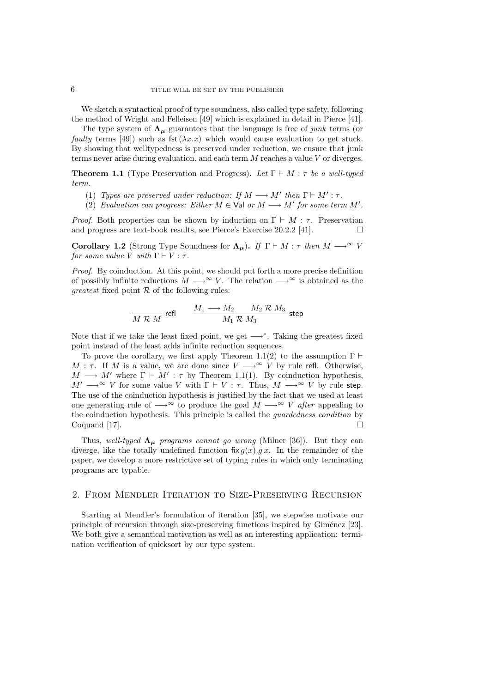We sketch a syntactical proof of type soundness, also called type safety, following the method of Wright and Felleisen [49] which is explained in detail in Pierce [41].

The type system of  $\Lambda_{\mu}$  guarantees that the language is free of junk terms (or faulty terms [49]) such as fst $(\lambda x.x)$  which would cause evaluation to get stuck. By showing that welltypedness is preserved under reduction, we ensure that junk terms never arise during evaluation, and each term  $M$  reaches a value  $V$  or diverges.

**Theorem 1.1** (Type Preservation and Progress). Let  $\Gamma \vdash M : \tau$  be a well-typed term.

- (1) Types are preserved under reduction: If  $M \longrightarrow M'$  then  $\Gamma \vdash M' : \tau$ .
- (2) Evaluation can progress: Either  $M \in \mathsf{Val}$  or  $M \longrightarrow M'$  for some term  $M'$ .

*Proof.* Both properties can be shown by induction on  $\Gamma \vdash M : \tau$ . Preservation and progress are text-book results, see Pierce's Exercise  $20.2.2$  [41].

**Corollary 1.2** (Strong Type Soundness for  $\Lambda_{\mu}$ ). If  $\Gamma \vdash M : \tau$  then  $M \longrightarrow^{\infty} V$ for some value V with  $\Gamma \vdash V : \tau$ .

Proof. By coinduction. At this point, we should put forth a more precise definition of possibly infinite reductions  $M \longrightarrow \infty$  V. The relation  $\longrightarrow \infty$  is obtained as the *greatest* fixed point  $\mathcal R$  of the following rules:

$$
\frac{M}{M \mathrel{{\mathcal R}} \, M} \ \ \text{refl} \qquad \frac{M_1 \longrightarrow M_2 \quad \ \ M_2 \mathrel{{\mathcal R}} \, M_3}{M_1 \mathrel{{\mathcal R}} \, M_3} \ \ \text{step}
$$

Note that if we take the least fixed point, we get  $\longrightarrow^*$ . Taking the greatest fixed point instead of the least adds infinite reduction sequences.

To prove the corollary, we first apply Theorem 1.1(2) to the assumption  $\Gamma \vdash$ M :  $\tau$ . If M is a value, we are done since  $V \longrightarrow^{\infty} V$  by rule refl. Otherwise,  $M \longrightarrow M'$  where  $\Gamma \vdash M' : \tau$  by Theorem 1.1(1). By coinduction hypothesis,  $M' \longrightarrow^{\infty} V$  for some value V with  $\Gamma \vdash V : \tau$ . Thus,  $M \longrightarrow^{\infty} V$  by rule step. The use of the coinduction hypothesis is justified by the fact that we used at least one generating rule of  $\longrightarrow^{\infty}$  to produce the goal  $M \longrightarrow^{\infty} V$  after appealing to the coinduction hypothesis. This principle is called the guardedness condition by  $\Box$   $\Box$ 

Thus, well-typed  $\Lambda_{\mu}$  programs cannot go wrong (Milner [36]). But they can diverge, like the totally undefined function fix  $g(x)$ .g x. In the remainder of the paper, we develop a more restrictive set of typing rules in which only terminating programs are typable.

## 2. From Mendler Iteration to Size-Preserving Recursion

Starting at Mendler's formulation of iteration [35], we stepwise motivate our principle of recursion through size-preserving functions inspired by Giménez [23]. We both give a semantical motivation as well as an interesting application: termination verification of quicksort by our type system.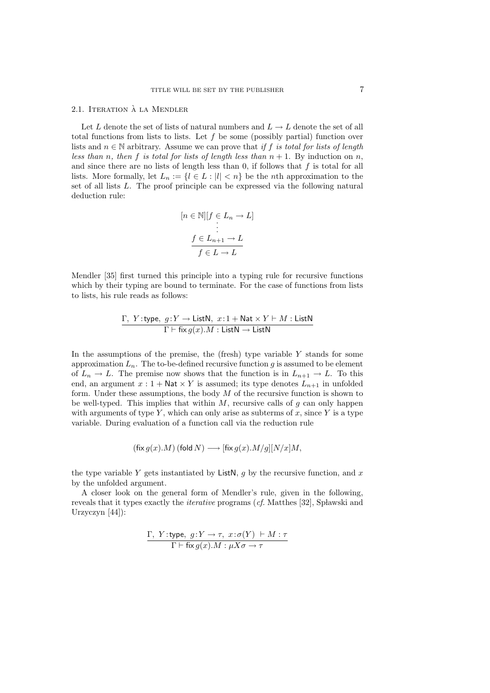#### 2.1. ITERATION À LA MENDLER

Let L denote the set of lists of natural numbers and  $L \to L$  denote the set of all total functions from lists to lists. Let  $f$  be some (possibly partial) function over lists and  $n \in \mathbb{N}$  arbitrary. Assume we can prove that if f is total for lists of length less than n, then f is total for lists of length less than  $n + 1$ . By induction on n, and since there are no lists of length less than 0, if follows that  $f$  is total for all lists. More formally, let  $L_n := \{l \in L : |l| < n\}$  be the nth approximation to the set of all lists L. The proof principle can be expressed via the following natural deduction rule:

$$
[n \in \mathbb{N}][f \in L_n \to L]
$$

$$
\vdots
$$

$$
f \in L_{n+1} \to L
$$

$$
f \in L \to L
$$

Mendler [35] first turned this principle into a typing rule for recursive functions which by their typing are bound to terminate. For the case of functions from lists to lists, his rule reads as follows:

$$
\frac{\Gamma, Y:\text{type}, g:Y \to \text{ListN}, x:1 + \text{Nat} \times Y \vdash M: \text{ListN}}{\Gamma \vdash \text{fix } g(x).M: \text{ListN} \to \text{ListN}}
$$

In the assumptions of the premise, the (fresh) type variable  $Y$  stands for some approximation  $L_n$ . The to-be-defined recursive function g is assumed to be element of  $L_n \to L$ . The premise now shows that the function is in  $L_{n+1} \to L$ . To this end, an argument  $x: 1 + \mathsf{Nat} \times Y$  is assumed; its type denotes  $L_{n+1}$  in unfolded form. Under these assumptions, the body  $M$  of the recursive function is shown to be well-typed. This implies that within  $M$ , recursive calls of  $q$  can only happen with arguments of type Y, which can only arise as subterms of x, since Y is a type variable. During evaluation of a function call via the reduction rule

$$
(\mathop{\rm fix} g(x).M)\,(\mathop{\rm fold} N)\longrightarrow [\mathop{\rm fix} g(x).M/g][N/x]M,
$$

the type variable Y gets instantiated by ListN, q by the recursive function, and x by the unfolded argument.

A closer look on the general form of Mendler's rule, given in the following, reveals that it types exactly the *iterative* programs  $(cf.$  Matthes  $[32]$ , Sp lawski and Urzyczyn [44]):

$$
\frac{\Gamma, Y: \text{type}, g: Y \to \tau, x: \sigma(Y) \vdash M: \tau}{\Gamma \vdash \text{fix } g(x).M: \mu X \sigma \to \tau}
$$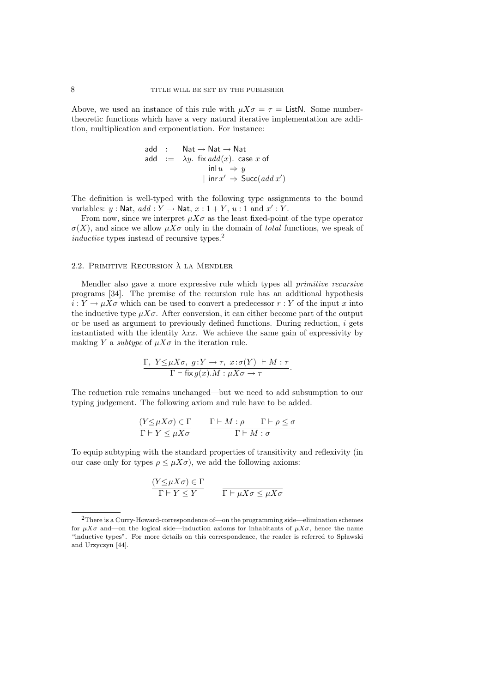Above, we used an instance of this rule with  $\mu X\sigma = \tau =$  ListN. Some numbertheoretic functions which have a very natural iterative implementation are addition, multiplication and exponentiation. For instance:

$$
add : Nat \rightarrow Nat \rightarrow Nat
$$
  
\n
$$
add := \lambda y. fix add(x). case x of
$$
  
\n
$$
in u \Rightarrow y
$$
  
\n
$$
in x' \Rightarrow Succ(add x')
$$

The definition is well-typed with the following type assignments to the bound variables:  $y : \mathsf{Nat}, \, \mathit{add} : Y \to \mathsf{Nat}, \, x : 1 + Y, \, u : 1 \text{ and } x' : Y.$ 

From now, since we interpret  $\mu X\sigma$  as the least fixed-point of the type operator  $\sigma(X)$ , and since we allow  $\mu X\sigma$  only in the domain of total functions, we speak of inductive types instead of recursive types.<sup>2</sup>

#### 2.2. Primitive Recursion a la Mendler `

Mendler also gave a more expressive rule which types all primitive recursive programs [34]. The premise of the recursion rule has an additional hypothesis  $i: Y \to \mu X \sigma$  which can be used to convert a predecessor  $r: Y$  of the input x into the inductive type  $\mu X\sigma$ . After conversion, it can either become part of the output or be used as argument to previously defined functions. During reduction,  $i$  gets instantiated with the identity  $\lambda xx$ . We achieve the same gain of expressivity by making Y a *subtype* of  $\mu X\sigma$  in the iteration rule.

$$
\frac{\Gamma, Y \leq \mu X \sigma, g: Y \to \tau, x: \sigma(Y) \vdash M : \tau}{\Gamma \vdash \text{fix } g(x).M : \mu X \sigma \to \tau}.
$$

The reduction rule remains unchanged—but we need to add subsumption to our typing judgement. The following axiom and rule have to be added.

$$
\frac{(Y \le \mu X \sigma) \in \Gamma}{\Gamma \vdash Y \le \mu X \sigma} \qquad \frac{\Gamma \vdash M : \rho \qquad \Gamma \vdash \rho \le \sigma}{\Gamma \vdash M : \sigma}
$$

To equip subtyping with the standard properties of transitivity and reflexivity (in our case only for types  $\rho \leq \mu X \sigma$ , we add the following axioms:

$$
\frac{(Y \le \mu X \sigma) \in \Gamma}{\Gamma \vdash Y \le Y} \qquad \frac{\Gamma}{\Gamma \vdash \mu X \sigma \le \mu X \sigma}
$$

<sup>2</sup>There is a Curry-Howard-correspondence of—on the programming side—elimination schemes for  $\mu X\sigma$  and—on the logical side—induction axioms for inhabitants of  $\mu X\sigma$ , hence the name "inductive types". For more details on this correspondence, the reader is referred to Spławski and Urzyczyn [44].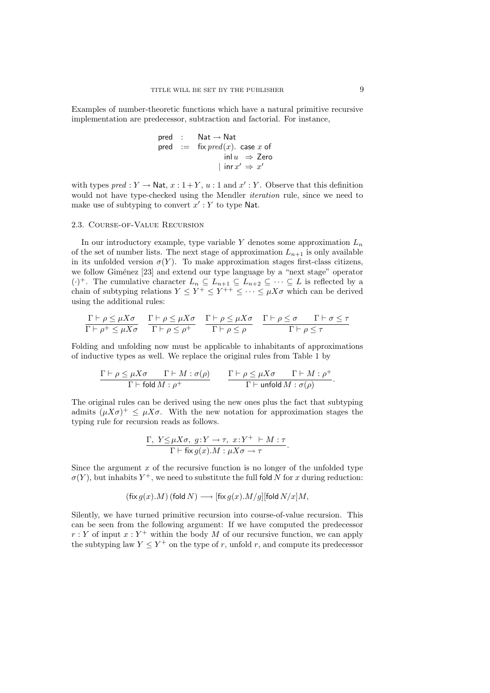Examples of number-theoretic functions which have a natural primitive recursive implementation are predecessor, subtraction and factorial. For instance,

$$
\begin{array}{rcl}\n\text{pred} & : & \text{Nat} \rightarrow \text{Nat} \\
\text{pred} & : = & \text{fix } pred(x). \text{ case } x \text{ of } \\
& \text{inl } u \Rightarrow \text{Zero} \\
& | \text{inr } x' \Rightarrow x'\n\end{array}
$$

with types  $pred : Y \to \text{Nat}, x : 1 + Y, u : 1 \text{ and } x' : Y$ . Observe that this definition would not have type-checked using the Mendler iteration rule, since we need to make use of subtyping to convert  $x': Y$  to type Nat.

#### 2.3. Course-of-Value Recursion

In our introductory example, type variable Y denotes some approximation  $L_n$ of the set of number lists. The next stage of approximation  $L_{n+1}$  is only available in its unfolded version  $\sigma(Y)$ . To make approximation stages first-class citizens, we follow Giménez [23] and extend our type language by a "next stage" operator  $(\cdot)^+$ . The cumulative character  $L_n \subseteq L_{n+1} \subseteq L_{n+2} \subseteq \cdots \subseteq L$  is reflected by a chain of subtyping relations  $Y \leq Y^+ \leq Y^{++} \leq \cdots \leq \mu X \sigma$  which can be derived using the additional rules:

$$
\frac{\Gamma \vdash \rho \leq \mu X \sigma}{\Gamma \vdash \rho^+ \leq \mu X \sigma} \quad \frac{\Gamma \vdash \rho \leq \mu X \sigma}{\Gamma \vdash \rho \leq \rho^+} \quad \frac{\Gamma \vdash \rho \leq \mu X \sigma}{\Gamma \vdash \rho \leq \rho} \quad \frac{\Gamma \vdash \rho \leq \sigma \quad \Gamma \vdash \sigma \leq \tau}{\Gamma \vdash \rho \leq \tau}
$$

Folding and unfolding now must be applicable to inhabitants of approximations of inductive types as well. We replace the original rules from Table 1 by

$$
\frac{\Gamma\vdash\rho\leq\mu X\sigma\qquad\Gamma\vdash M:\sigma(\rho)}{\Gamma\vdash\mathsf{fold}\,M:\rho^+}\qquad\frac{\Gamma\vdash\rho\leq\mu X\sigma\qquad\Gamma\vdash M:\rho^+}{\Gamma\vdash\mathsf{unfold}\,M:\sigma(\rho)}.
$$

The original rules can be derived using the new ones plus the fact that subtyping admits  $(\mu X\sigma)^+ \leq \mu X\sigma$ . With the new notation for approximation stages the typing rule for recursion reads as follows.

$$
\frac{\Gamma, Y \leq \mu X \sigma, g: Y \to \tau, x: Y^+ + M: \tau}{\Gamma \vdash \text{fix } g(x).M: \mu X \sigma \to \tau}.
$$

Since the argument  $x$  of the recursive function is no longer of the unfolded type  $\sigma(Y)$ , but inhabits  $Y^+$ , we need to substitute the full fold N for x during reduction:

$$
(\text{fix } g(x).M) \text{ (fold } N) \longrightarrow [\text{fix } g(x).M/g][\text{fold } N/x]M,
$$

Silently, we have turned primitive recursion into course-of-value recursion. This can be seen from the following argument: If we have computed the predecessor  $r: Y$  of input  $x: Y^+$  within the body M of our recursive function, we can apply the subtyping law  $Y \leq Y^+$  on the type of r, unfold r, and compute its predecessor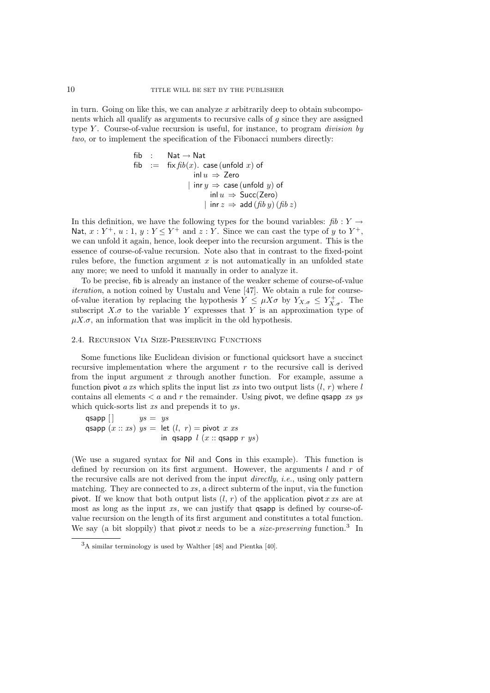in turn. Going on like this, we can analyze  $x$  arbitrarily deep to obtain subcomponents which all qualify as arguments to recursive calls of g since they are assigned type Y. Course-of-value recursion is useful, for instance, to program *division by* two, or to implement the specification of the Fibonacci numbers directly:

| fib                                                                  | : $\text{Nat} \rightarrow \text{Nat}$                                     |
|----------------------------------------------------------------------|---------------------------------------------------------------------------|
| fib                                                                  | := $\text{fix} \, \text{fib}(x)$ . $\text{case} \, (\text{unfold } x)$ of |
| in $u \Rightarrow \text{Zero}$                                       |                                                                           |
| in $uy \Rightarrow \text{case} \, (\text{unfold } y)$ of             |                                                                           |
| in $u \Rightarrow \text{Succ}(\text{Zero})$                          |                                                                           |
| in $rx \Rightarrow \text{add} \, (\text{fib } y) \, (\text{fib } z)$ |                                                                           |

In this definition, we have the following types for the bound variables:  $\hbar b : Y \rightarrow$ Nat,  $x: Y^+, u: 1, y: Y \leq Y^+$  and  $z: Y$ . Since we can cast the type of y to  $Y^+,$ we can unfold it again, hence, look deeper into the recursion argument. This is the essence of course-of-value recursion. Note also that in contrast to the fixed-point rules before, the function argument  $x$  is not automatically in an unfolded state any more; we need to unfold it manually in order to analyze it.

To be precise, fib is already an instance of the weaker scheme of course-of-value iteration, a notion coined by Uustalu and Vene [47]. We obtain a rule for courseof-value iteration by replacing the hypothesis  $Y \leq \mu X \sigma$  by  $Y_{X,\sigma} \leq Y_{X,\sigma}^+$ . The subscript  $X.\sigma$  to the variable Y expresses that Y is an approximation type of  $\mu X.\sigma$ , an information that was implicit in the old hypothesis.

### 2.4. Recursion Via Size-Preserving Functions

Some functions like Euclidean division or functional quicksort have a succinct recursive implementation where the argument r to the recursive call is derived from the input argument  $x$  through another function. For example, assume a function pivot a xs which splits the input list xs into two output lists  $(l, r)$  where l contains all elements  $\lt a$  and r the remainder. Using pivot, we define quapp xs ys which quick-sorts list xs and prepends it to ys.

qsapp  $\Box$   $ys = ys$ qsapp  $(x:: xs)$   $ys = let$   $(l, r) = pivot x$  xs in qsapp  $l(x::$  qsapp  $r ys)$ 

(We use a sugared syntax for Nil and Cons in this example). This function is defined by recursion on its first argument. However, the arguments  $l$  and  $r$  of the recursive calls are not derived from the input directly, i.e., using only pattern matching. They are connected to  $xs$ , a direct subterm of the input, via the function pivot. If we know that both output lists  $(l, r)$  of the application pivot x xs are at most as long as the input  $xs$ , we can justify that  $\alpha$  qsapp is defined by course-ofvalue recursion on the length of its first argument and constitutes a total function. We say (a bit sloppily) that pivot x needs to be a *size-preserving* function.<sup>3</sup> In

<sup>3</sup>A similar terminology is used by Walther [48] and Pientka [40].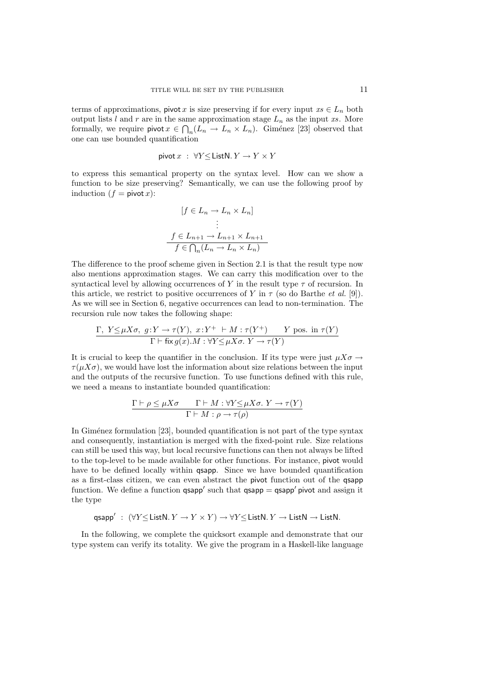terms of approximations, pivot x is size preserving if for every input  $xs \in L_n$  both output lists l and r are in the same approximation stage  $L_n$  as the input xs. More formally, we require pivot  $x \in \bigcap_n (L_n \to L_n \times L_n)$ . Giménez [23] observed that one can use bounded quantification

$$
\mathsf{pivot}\, x \; : \; \forall Y {\leq} \, \mathsf{ListN}.\, Y \to Y \times Y
$$

to express this semantical property on the syntax level. How can we show a function to be size preserving? Semantically, we can use the following proof by induction  $(f = \text{pivot } x)$ :

$$
[f \in L_n \to L_n \times L_n]
$$
  
\n
$$
\vdots
$$
  
\n
$$
f \in L_{n+1} \to L_{n+1} \times L_{n+1}
$$
  
\n
$$
f \in \bigcap_n (L_n \to L_n \times L_n)
$$

The difference to the proof scheme given in Section 2.1 is that the result type now also mentions approximation stages. We can carry this modification over to the syntactical level by allowing occurrences of Y in the result type  $\tau$  of recursion. In this article, we restrict to positive occurrences of Y in  $\tau$  (so do Barthe *et al.* [9]). As we will see in Section 6, negative occurrences can lead to non-termination. The recursion rule now takes the following shape:

$$
\frac{\Gamma, Y \leq \mu X \sigma, g: Y \to \tau(Y), x: Y^+ \vdash M : \tau(Y^+) \qquad Y \text{ pos. in } \tau(Y)}{\Gamma \vdash \text{fix } g(x).M : \forall Y \leq \mu X \sigma. Y \to \tau(Y)}
$$

It is crucial to keep the quantifier in the conclusion. If its type were just  $\mu X\sigma \rightarrow$  $\tau(uX\sigma)$ , we would have lost the information about size relations between the input and the outputs of the recursive function. To use functions defined with this rule, we need a means to instantiate bounded quantification:

$$
\frac{\Gamma \vdash \rho \leq \mu X \sigma \qquad \Gamma \vdash M : \forall Y \leq \mu X \sigma. \ Y \to \tau(Y)}{\Gamma \vdash M : \rho \to \tau(\rho)}
$$

In Giménez formulation  $[23]$ , bounded quantification is not part of the type syntax and consequently, instantiation is merged with the fixed-point rule. Size relations can still be used this way, but local recursive functions can then not always be lifted to the top-level to be made available for other functions. For instance, pivot would have to be defined locally within **qsapp**. Since we have bounded quantification as a first-class citizen, we can even abstract the pivot function out of the qsapp function. We define a function  $q$ sapp' such that  $q$ sapp =  $q$ sapp' pivot and assign it the type

$$
\mathsf{qsupp}' : (\forall Y \leq \mathsf{ListN}.\ Y \to Y \times Y) \to \forall Y \leq \mathsf{ListN}.\ Y \to \mathsf{ListN} \to \mathsf{ListN}.
$$

In the following, we complete the quicksort example and demonstrate that our type system can verify its totality. We give the program in a Haskell-like language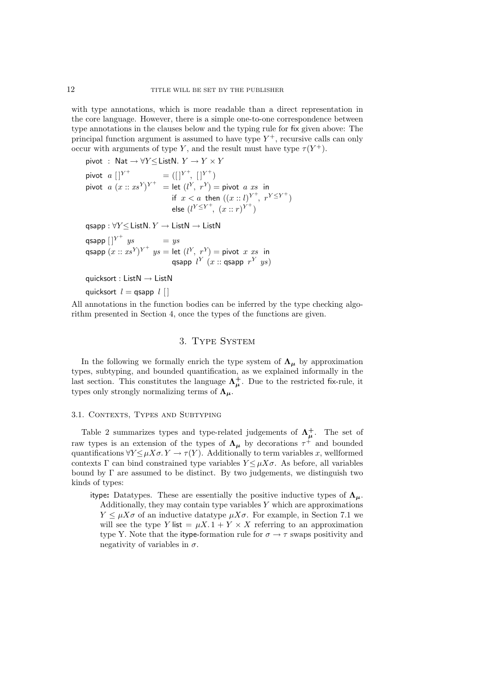with type annotations, which is more readable than a direct representation in the core language. However, there is a simple one-to-one correspondence between type annotations in the clauses below and the typing rule for fix given above: The principal function argument is assumed to have type  $Y^+$ , recursive calls can only occur with arguments of type Y, and the result must have type  $\tau(Y^+)$ .

pivot : Nat  $\rightarrow \forall Y \leq$  ListN.  $Y \rightarrow Y \times Y$ 

pivot  $a\,|\,|^{Y^+}\qquad\qquad =(|\,|^{Y^+},\,|\,|^{Y^+})$ pivot  $a(x::xs^Y)^{Y^+} = \text{let } (l^Y, r^Y) = \text{pivot } a \text{ } xs \text{ } \text{ in }$ if  $x < a$  then  $((x:: l)^{Y^+}, r^{Y \leq Y^+})$ else  $(l^{Y \leq Y^+}, (x : r)^{Y^+})$ 

qsapp :  $\forall Y$  < ListN.  $Y \rightarrow$  ListN  $\rightarrow$  ListN

qsapp  $[\;]^{Y^+}$   $y s = y s$ qsapp  $(x::xs^Y)^{Y^+}$   $ys =$  let  $(l^Y, r^Y) =$  pivot  $x \; xs$  in qsapp  $l^Y(x::$ qsapp  $r^Y$   $ys)$ 

quicksort : List $N \rightarrow$  List $N$ 

quicksort  $l =$  qsapp  $l \mid$ 

All annotations in the function bodies can be inferred by the type checking algorithm presented in Section 4, once the types of the functions are given.

## 3. Type System

In the following we formally enrich the type system of  $\Lambda_{\mu}$  by approximation types, subtyping, and bounded quantification, as we explained informally in the last section. This constitutes the language  $\Lambda^+_\mu$ . Due to the restricted fix-rule, it types only strongly normalizing terms of  $\pmb{\Lambda_\mu}.$ 

#### 3.1. CONTEXTS, TYPES AND SUBTYPING

Table 2 summarizes types and type-related judgements of  $\Lambda^{\dagger}_{\mu}$ . The set of raw types is an extension of the types of  $\Lambda_{\mu}$  by decorations  $\tau^+$  and bounded quantifications  $\forall Y \leq \mu X \sigma$ .  $Y \to \tau(Y)$ . Additionally to term variables x, wellformed contexts Γ can bind constrained type variables  $Y \leq \mu X\sigma$ . As before, all variables bound by  $\Gamma$  are assumed to be distinct. By two judgements, we distinguish two kinds of types:

itype: Datatypes. These are essentially the positive inductive types of  $\Lambda_{\mu}$ . Additionally, they may contain type variables  $Y$  which are approximations  $Y \leq \mu X\sigma$  of an inductive datatype  $\mu X\sigma$ . For example, in Section 7.1 we will see the type Y list =  $\mu X. 1 + Y \times X$  referring to an approximation type Y. Note that the itype-formation rule for  $\sigma \to \tau$  swaps positivity and negativity of variables in  $\sigma$ .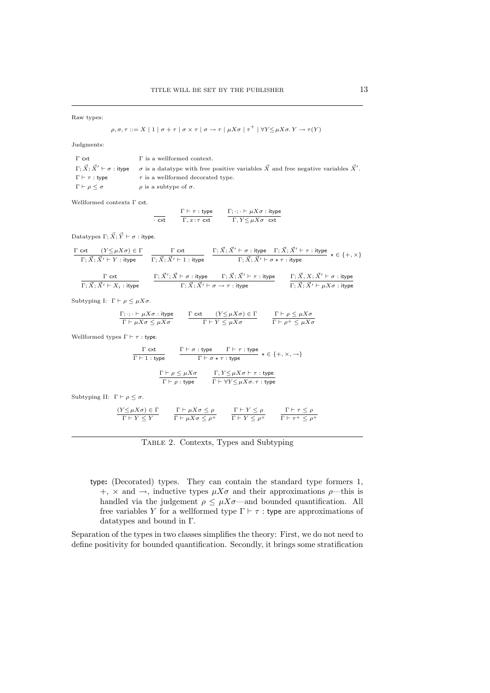Raw types:

$$
\rho, \sigma, \tau ::= X \mid 1 \mid \sigma + \tau \mid \sigma \times \tau \mid \sigma \to \tau \mid \mu X \sigma \mid \tau^+ \mid \forall Y \leq \mu X \sigma. Y \to \tau(Y)
$$

Judgments:

| $\Gamma$ cxt                         | $\Gamma$ is a wellformed context.                                                                                                                              |
|--------------------------------------|----------------------------------------------------------------------------------------------------------------------------------------------------------------|
|                                      | $\Gamma$ ; $\vec{X}$ ; $\vec{X}' \vdash \sigma$ : itype $\sigma$ is a datatype with free positive variables $\vec{X}$ and free negative variables $\vec{X}'$ . |
| $\Gamma \vdash \tau : \mathsf{type}$ | $\tau$ is a wellformed decorated type.                                                                                                                         |
| $\Gamma \vdash \rho \leq \sigma$     | $\rho$ is a subtype of $\sigma$ .                                                                                                                              |

Wellformed contexts Γ cxt.

$$
\frac{\Gamma \vdash \tau : \text{type}}{\Gamma, x : \tau \text{ ext}} \qquad \frac{\Gamma; \cdot; \cdot \vdash \mu X \sigma : \text{type}}{\Gamma, Y \leq \mu X \sigma \text{ ext}}
$$

Datatypes  $\Gamma; \vec{X}; \vec{Y} \vdash \sigma$ : itype.

$$
\frac{\Gamma \text{ ext}}{\Gamma; \vec{X}; \vec{X}' \vdash Y : \text{itype}} \quad \frac{\Gamma \text{ ext}}{\Gamma; \vec{X}; \vec{X}' \vdash 1 : \text{itype}} \quad \frac{\Gamma; \vec{X}; \vec{X}' \vdash \sigma : \text{itype} \quad \Gamma; \vec{X}; \vec{X}' \vdash \tau : \text{itype}}{\Gamma; \vec{X}; \vec{X}' \vdash \sigma \star \tau : \text{itype}} \star \in \{+, \times\}
$$

$$
\frac{\Gamma \text{ ext}}{\Gamma;\vec{X};\vec{X'} \vdash X_i : \text{itype}} \qquad \frac{\Gamma;\vec{X'};\vec{X} \vdash \sigma : \text{itype} \qquad \Gamma;\vec{X};\vec{X'} \vdash \tau : \text{itype}}{\Gamma;\vec{X};\vec{X'} \vdash \sigma \rightarrow \tau : \text{itype}} \qquad \frac{\Gamma;\vec{X},X;\vec{X'} \vdash \sigma : \text{itype}}{\Gamma;\vec{X};\vec{X'} \vdash \mu X \sigma : \text{itype}}
$$

Subtyping I:  $\; \Gamma \vdash \rho \leq \mu X \sigma.$ 

| $\Gamma; \cdot; \cdot \vdash \mu X \sigma : \text{itype}$ | $\Gamma$ cxt $(Y \leq \mu X \sigma) \in \Gamma$ | $\Gamma \vdash \rho \leq \mu X \sigma$   |
|-----------------------------------------------------------|-------------------------------------------------|------------------------------------------|
| $\Gamma \vdash \mu X \sigma \leq \mu X \sigma$            | $\Gamma \vdash Y \leq \mu X \sigma$             | $\Gamma \vdash \rho^+ \leq \mu X \sigma$ |

Wellformed types  $\Gamma \vdash \tau$  : type.

| $\Gamma$ cxt             | $\Gamma \vdash \sigma :$ type          | $\Gamma \vdash \tau :$ type                      | $- \star \in \{+, \times, \rightarrow\}$ |
|--------------------------|----------------------------------------|--------------------------------------------------|------------------------------------------|
| $\Gamma \vdash 1$ : type |                                        | $\Gamma \vdash \sigma \star \tau :$ type         |                                          |
|                          | $\Gamma \vdash \rho \leq \mu X \sigma$ | $\Gamma, Y \leq \mu X \sigma \vdash \tau :$ type |                                          |

$$
\frac{1}{\Gamma \vdash \rho : \text{type}} \qquad \frac{1}{\Gamma \vdash \forall Y \leq \mu X \sigma. \ \tau : \text{type}}
$$

Subtyping II:  $\Gamma \vdash \rho \leq \sigma.$ 

| $(Y \leq \mu X \sigma) \in \Gamma$ | $\Gamma \vdash \mu X \sigma \leq \rho$   | $\Gamma \vdash Y \leq \rho$   | $\Gamma \vdash \tau \leq \rho$     |
|------------------------------------|------------------------------------------|-------------------------------|------------------------------------|
| $\Gamma \vdash Y \leq Y$           | $\Gamma \vdash \mu X \sigma \leq \rho^+$ | $\Gamma \vdash Y \leq \rho^+$ | $\Gamma \vdash \tau^+ \leq \rho^+$ |

Table 2. Contexts, Types and Subtyping

type: (Decorated) types. They can contain the standard type formers 1,  $+$ ,  $\times$  and  $\rightarrow$ , inductive types  $\mu X\sigma$  and their approximations  $\rho$ —this is handled via the judgement  $\rho \leq \mu X \sigma$ —and bounded quantification. All free variables Y for a wellformed type  $\Gamma \vdash \tau$  : type are approximations of datatypes and bound in Γ.

Separation of the types in two classes simplifies the theory: First, we do not need to define positivity for bounded quantification. Secondly, it brings some stratification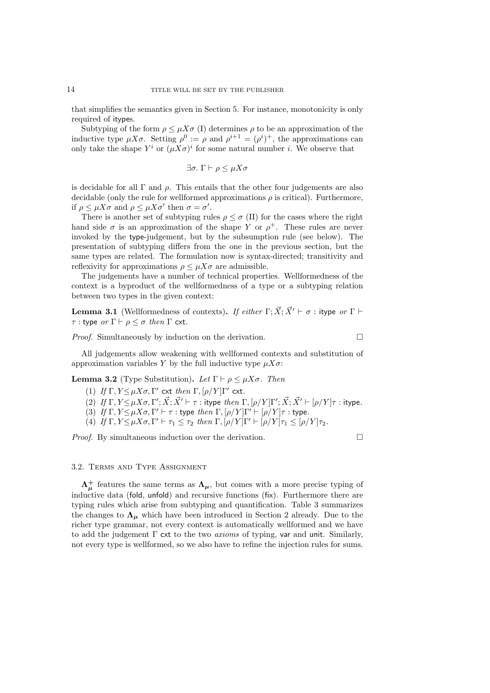that simplifies the semantics given in Section 5. For instance, monotonicity is only required of itypes.

Subtyping of the form  $\rho \leq \mu X \sigma$  (I) determines  $\rho$  to be an approximation of the inductive type  $\mu X\sigma$ . Setting  $\rho^0 := \rho$  and  $\rho^{i+1} = (\rho^i)^+$ , the approximations can only take the shape  $Y^i$  or  $(\mu X \sigma)^i$  for some natural number *i*. We observe that

$$
\exists \sigma. \; \Gamma \vdash \rho \le \mu X \sigma
$$

is decidable for all  $\Gamma$  and  $\rho$ . This entails that the other four judgements are also decidable (only the rule for wellformed approximations  $\rho$  is critical). Furthermore, if  $\rho \leq \mu X \sigma$  and  $\rho \leq \mu X \sigma'$  then  $\sigma = \sigma'.$ 

There is another set of subtyping rules  $\rho \leq \sigma$  (II) for the cases where the right hand side  $\sigma$  is an approximation of the shape Y or  $\rho^+$ . These rules are never invoked by the type-judgement, but by the subsumption rule (see below). The presentation of subtyping differs from the one in the previous section, but the same types are related. The formulation now is syntax-directed; transitivity and reflexivity for approximations  $\rho \leq \mu X \sigma$  are admissible.

The judgements have a number of technical properties. Wellformedness of the context is a byproduct of the wellformedness of a type or a subtyping relation between two types in the given context:

**Lemma 3.1** (Wellformedness of contexts). If either  $\Gamma$ ;  $\vec{X}$ ;  $\vec{X}' \vdash \sigma$  : itype or  $\Gamma \vdash$  $τ$  : type or Γ  $\vdash ρ ≤ σ$  then Γ cxt.

*Proof.* Simultaneously by induction on the derivation.  $\Box$ 

All judgements allow weakening with wellformed contexts and substitution of approximation variables Y by the full inductive type  $\mu X\sigma$ :

**Lemma 3.2** (Type Substitution). Let  $\Gamma \vdash \rho \leq \mu X\sigma$ . Then

- (1) If  $\Gamma, Y \leq \mu X \sigma, \Gamma'$  cxt then  $\Gamma, [\rho/Y] \Gamma'$  cxt.
- (2) If  $\Gamma, Y \leq \mu X \sigma, \Gamma'; \vec{X}; \vec{X}' \vdash \tau : \text{itype } \text{ then } \Gamma, [\rho/Y] \Gamma'; \vec{X}; \vec{X}' \vdash [\rho/Y] \tau : \text{itype}.$
- (3) If  $\Gamma, Y \leq \mu X \sigma, \Gamma' \vdash \tau :$  type then  $\Gamma, [\rho/Y] \Gamma' \vdash [\rho/Y] \tau :$  type.
- (4) If  $\Gamma, Y \leq \mu X \sigma, \Gamma' \vdash \tau_1 \leq \tau_2$  then  $\Gamma, [\rho/Y] \Gamma' \vdash [\rho/Y] \tau_1 \leq [\rho/Y] \tau_2$ .

*Proof.* By simultaneous induction over the derivation.  $\Box$ 

#### 3.2. Terms and Type Assignment

 $\Lambda^{\dagger}_{\mu}$  features the same terms as  $\Lambda_{\mu}$ , but comes with a more precise typing of inductive data (fold, unfold) and recursive functions (fix). Furthermore there are typing rules which arise from subtyping and quantification. Table 3 summarizes the changes to  $\Lambda_{\mu}$  which have been introduced in Section 2 already. Due to the richer type grammar, not every context is automatically wellformed and we have to add the judgement  $\Gamma$  cxt to the two *axioms* of typing, var and unit. Similarly, not every type is wellformed, so we also have to refine the injection rules for sums.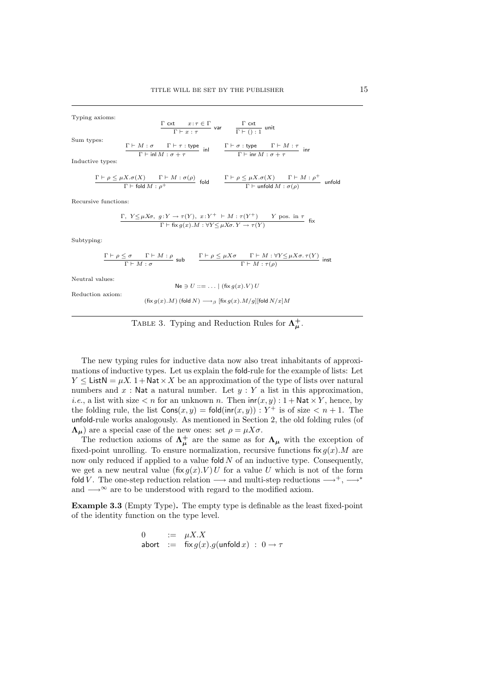Γ cxt

Typing axioms:

Sum

\n types:\n 
$$
\frac{\Gamma \vdash M : \sigma \quad \Gamma \vdash \tau : \forall p e}{\Gamma \vdash \sigma : \tau} \quad \text{var} \quad \frac{\Gamma \vdash \sigma : \exists \text{ unit}}{\Gamma \vdash (\cdot) : 1} \quad \text{unit}
$$
\n

\n\n $\frac{\Gamma \vdash M : \sigma \quad \Gamma \vdash \tau : \forall p e}{\Gamma \vdash \text{inl } M : \sigma + \tau} \quad \text{inr}$ \n

 $\Gamma$  cxt  $x: \tau \in \Gamma$ 

Inductive types:

$$
\frac{\Gamma\vdash\rho\leq\mu X.\sigma(X)\qquad\Gamma\vdash M:\sigma(\rho)}{\Gamma\vdash\mathsf{fold}\ M:\rho^+}\quad\mathsf{fold}\qquad\frac{\Gamma\vdash\rho\leq\mu X.\sigma(X)\qquad\Gamma\vdash M:\rho^+}{\Gamma\vdash\mathsf{unfold}\ M:\sigma(\rho)}\quad\mathsf{unfold}
$$

Recursive functions:

$$
\frac{\Gamma, Y \leq \mu X \sigma, g: Y \to \tau(Y), x: Y^+ \vdash M : \tau(Y^+) \qquad Y \text{ pos. in } \tau}{\Gamma \vdash \text{fix } g(x).M : \forall Y \leq \mu X \sigma. Y \to \tau(Y)} \quad \text{fix}
$$

Subtyping:

Neutra

$$
\frac{\Gamma \vdash \rho \leq \sigma \qquad \Gamma \vdash M : \rho \qquad \text{sub}}{\Gamma \vdash M : \sigma} \quad \frac{\Gamma \vdash \rho \leq \mu X \sigma \qquad \Gamma \vdash M : \forall Y \leq \mu X \sigma. \tau(Y)}{\Gamma \vdash M : \tau(\rho)} \quad \text{inst}
$$
\n1 values:  
\n
$$
\text{Ne } \ni U ::= \dots \mid (\text{fix } g(x).V) \ U
$$

Reduction axiom:

 $(\mathrm{fix}\, g(x).M)$  (fold  $N) \longrightarrow_{\beta} [\mathrm{fix}\, g(x).M/g]$  [fold  $N/x]M$ 

TABLE 3. Typing and Reduction Rules for  $\Lambda^+_\mu$ .

The new typing rules for inductive data now also treat inhabitants of approximations of inductive types. Let us explain the fold-rule for the example of lists: Let  $Y \leq$  ListN =  $\mu X$ . 1 + Nat  $\times X$  be an approximation of the type of lists over natural numbers and  $x$ : Nat a natural number. Let  $y : Y$  a list in this approximation, *i.e.*, a list with size  $\lt n$  for an unknown n. Then  $\text{inr}(x, y) : 1 + \text{Nat} \times Y$ , hence, by the folding rule, the list  $\text{Cons}(x, y) = \text{fold}(\text{inr}(x, y)) : Y^+$  is of size  $\lt n + 1$ . The unfold-rule works analogously. As mentioned in Section 2, the old folding rules (of  $\Lambda_{\mu}$ ) are a special case of the new ones: set  $\rho = \mu X \sigma$ .

The reduction axioms of  $\Lambda^{\dagger}_{\mu}$  are the same as for  $\Lambda_{\mu}$  with the exception of fixed-point unrolling. To ensure normalization, recursive functions fix  $g(x)$ . M are now only reduced if applied to a value fold  $N$  of an inductive type. Consequently, we get a new neutral value  $(fix g(x).V)U$  for a value U which is not of the form fold V. The one-step reduction relation  $\longrightarrow$  and multi-step reductions  $\longrightarrow^+$ ,  $\longrightarrow^*$ and  $\longrightarrow^{\infty}$  are to be understood with regard to the modified axiom.

Example 3.3 (Empty Type). The empty type is definable as the least fixed-point of the identity function on the type level.

$$
\begin{array}{lcl} 0 & := & \mu X. X \\ \mathsf{abort} & := & \mathsf{fix}\, g(x).g(\mathsf{unfold}\,x) \; : \; 0 \xrightarrow{} \tau \end{array}
$$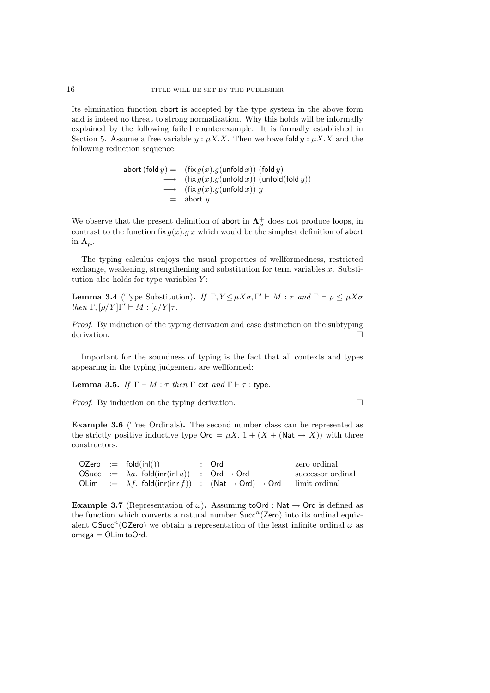Its elimination function abort is accepted by the type system in the above form and is indeed no threat to strong normalization. Why this holds will be informally explained by the following failed counterexample. It is formally established in Section 5. Assume a free variable  $y : \mu X.X$ . Then we have fold  $y : \mu X.X$  and the following reduction sequence.

$$
\begin{array}{rcl} \mathsf{abort}\,(\mathsf{fold}\, y) & = & (\mathsf{fix}\, g(x).g(\mathsf{unfold}\, x)) \,\,(\mathsf{fold}\, y) \\ & \longrightarrow & (\mathsf{fix}\, g(x).g(\mathsf{unfold}\, x)) \,\,(\mathsf{unfold}(\mathsf{fold}\, y)) \\ & \longrightarrow & (\mathsf{fix}\, g(x).g(\mathsf{unfold}\, x)) \,\, y \\ & = & \mathsf{abort}\,\, y \end{array}
$$

We observe that the present definition of abort in  $\Lambda^{\pm}_{\mu}$  does not produce loops, in contrast to the function fix  $g(x)$ .g x which would be the simplest definition of abort in  $\Lambda_{\mu}$ .

The typing calculus enjoys the usual properties of wellformedness, restricted exchange, weakening, strengthening and substitution for term variables  $x$ . Substitution also holds for type variables  $Y$ :

**Lemma 3.4** (Type Substitution). If  $\Gamma, Y \leq \mu X \sigma, \Gamma' \vdash M : \tau$  and  $\Gamma \vdash \rho \leq \mu X \sigma$ then  $\Gamma, [\rho/Y]\Gamma' \vdash M : [\rho/Y]\tau$ .

Proof. By induction of the typing derivation and case distinction on the subtyping derivation.

Important for the soundness of typing is the fact that all contexts and types appearing in the typing judgement are wellformed:

Lemma 3.5. If  $\Gamma \vdash M : \tau$  then  $\Gamma$  cxt and  $\Gamma \vdash \tau :$  type.

*Proof.* By induction on the typing derivation.  $\Box$ 

Example 3.6 (Tree Ordinals). The second number class can be represented as the strictly positive inductive type  $\mathsf{Ord} = \mu X$ .  $1 + (X + (\mathsf{Nat} \to X))$  with three constructors.

|  | $OZero := fold(inl())$                                          | : Ord                                                                                            | zero ordinal      |
|--|-----------------------------------------------------------------|--------------------------------------------------------------------------------------------------|-------------------|
|  | OSucc := $\lambda a$ . fold(inr(inl a)) : Ord $\rightarrow$ Ord |                                                                                                  | successor ordinal |
|  |                                                                 | OLim := $\lambda f$ . fold(inr(inr f)) : (Nat $\rightarrow$ Ord) $\rightarrow$ Ord limit ordinal |                   |

**Example 3.7** (Representation of  $\omega$ ). Assuming to Ord : Nat  $\rightarrow$  Ord is defined as the function which converts a natural number  $Succ<sup>n</sup>(Zero)$  into its ordinal equivalent OSucc<sup>n</sup>(OZero) we obtain a representation of the least infinite ordinal  $\omega$  as  $omega = OLim$  to Ord.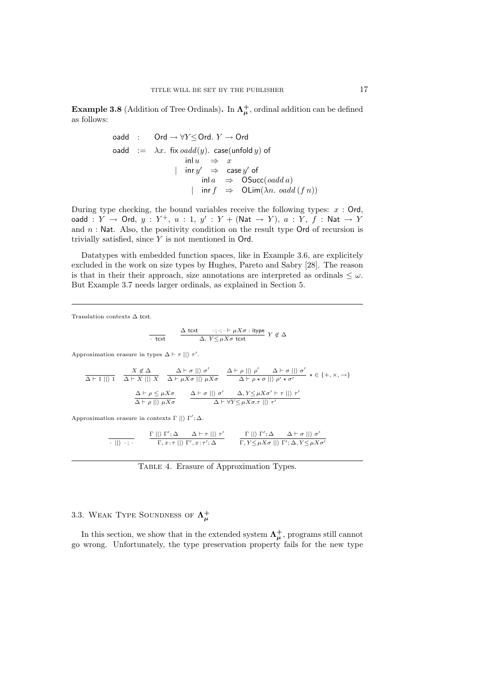**Example 3.8** (Addition of Tree Ordinals). In  $\Lambda^+_\mu$ , ordinal addition can be defined as follows:

$$
\begin{array}{rcl} \text{oadd} & : & \text{Ord} \to \forall Y {\leq} \text{Ord}. \ Y \to \text{Ord} \\ \text{oadd} & := & \lambda x. \ \ \text{fix}\ \text{oadd}(y). \ \ \text{case}(\text{unfold}\ y) \ \text{of} \\ &&& \text{inl}\ u & \Rightarrow & x \\ &&& \text{inr}\ y' & \Rightarrow & \text{case}\ y' \ \text{of} \\ &&& \text{inl}\ a & \Rightarrow & \text{OSucc}(\text{oadd}\ a) \\ &&& \text{inr}\ f & \Rightarrow & \text{OLim}(\lambda n.\ \text{oadd}\ (f\ n)) \end{array}
$$

During type checking, the bound variables receive the following types:  $x : \mathsf{Ord}$ , oadd :  $Y \rightarrow$  Ord,  $y : Y^+, u : 1, y' : Y + (Nat \rightarrow Y), a : Y, f : Nat \rightarrow Y$ and  $n$ : Nat. Also, the positivity condition on the result type Ord of recursion is trivially satisfied, since Y is not mentioned in Ord.

Datatypes with embedded function spaces, like in Example 3.6, are explicitely excluded in the work on size types by Hughes, Pareto and Sabry [28]. The reason is that in their their approach, size annotations are interpreted as ordinals  $\leq \omega$ . But Example 3.7 needs larger ordinals, as explained in Section 5.

Translation contexts  $\Delta$  tcxt.

$$
\frac{\Delta \text{ text } \quad \cdot; \cdot; \cdot \vdash \mu X \sigma : \text{itype}}{\Delta, Y \leq \mu X \sigma \text{ text }} Y \not\in \Delta
$$

Approximation erasure in types  $\Delta \vdash \tau ||$   $\tau'$ .

$$
\frac{X \notin \Delta}{\Delta \vdash 1 \mid\mid\rangle 1} \quad \frac{X \notin \Delta}{\Delta \vdash X \mid\mid\rangle X} \quad \frac{\Delta \vdash \sigma \mid\mid\rangle \sigma'}{\Delta \vdash \mu X \sigma \mid\mid\rangle \mu X \sigma} \quad \frac{\Delta \vdash \rho \mid\mid\rangle \rho'}{\Delta \vdash \rho * \sigma \mid\mid\rangle \rho' * \sigma'} \times \in \{+, \times, \to\}
$$
\n
$$
\frac{\Delta \vdash \rho \leq \mu X \sigma}{\Delta \vdash \rho \mid\mid\rangle \mu X \sigma} \quad \frac{\Delta \vdash \sigma \mid\mid\rangle \sigma'}{\Delta \vdash \forall Y \leq \mu X \sigma' \vdash \tau \mid\mid\rangle \tau'}
$$

Approximation erasure in contexts  $\Gamma \parallel \rangle \Gamma'$ ;  $\Delta$ .

$$
\frac{\Gamma \mid \mid \rangle \ \Gamma'; \Delta \qquad \Delta \vdash \tau \mid \mid \rangle \ \tau'}{\Gamma, x{:}\tau \mid \mid \rangle \ \Gamma', x{:}\tau'; \Delta} \qquad \frac{\Gamma \mid \mid \rangle \ \Gamma'; \Delta \qquad \Delta \vdash \sigma \mid \mid \rangle \ \sigma'}{\Gamma, Y \leq \mu X \sigma \mid \mid \rangle \ \Gamma'; \Delta, Y \leq \mu X \sigma'}
$$

Table 4. Erasure of Approximation Types.

# 3.3. WEAK TYPE SOUNDNESS OF  $\Lambda^+_\mu$

In this section, we show that in the extended system  $\Lambda^+_\mu$ , programs still cannot go wrong. Unfortunately, the type preservation property fails for the new type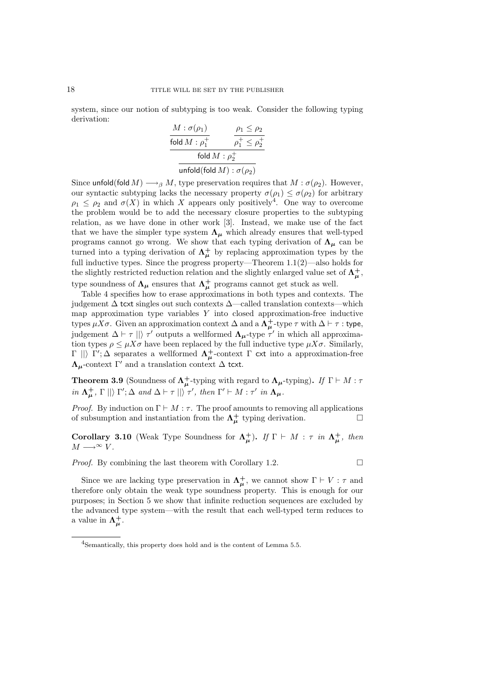system, since our notion of subtyping is too weak. Consider the following typing derivation:

$$
\frac{M:\sigma(\rho_1)}{\text{fold }M:\rho_1^+} \qquad \frac{\rho_1 \le \rho_2}{\rho_1^+ \le \rho_2^+}
$$
\n
$$
\frac{\text{fold }M:\rho_2^+}{\text{unfold}(\text{fold }M):\sigma(\rho_2)}
$$

Since unfold(fold  $M$ )  $\longrightarrow_{\beta} M$ , type preservation requires that  $M : \sigma(\rho_2)$ . However, our syntactic subtyping lacks the necessary property  $\sigma(\rho_1) \leq \sigma(\rho_2)$  for arbitrary  $\rho_1 \leq \rho_2$  and  $\sigma(X)$  in which X appears only positively<sup>4</sup>. One way to overcome the problem would be to add the necessary closure properties to the subtyping relation, as we have done in other work [3]. Instead, we make use of the fact that we have the simpler type system  $\Lambda_{\mu}$  which already ensures that well-typed programs cannot go wrong. We show that each typing derivation of  $\Lambda_{\mu}$  can be turned into a typing derivation of  $\Lambda^+_\mu$  by replacing approximation types by the full inductive types. Since the progress property—Theorem 1.1(2)—also holds for the slightly restricted reduction relation and the slightly enlarged value set of  $\Lambda^+_\mu$ , type soundness of  $\Lambda_{\mu}$  ensures that  $\Lambda_{\mu}^{+}$  programs cannot get stuck as well.

Table 4 specifies how to erase approximations in both types and contexts. The judgement  $\Delta$  tcxt singles out such contexts  $\Delta$ —called translation contexts—which map approximation type variables  $Y$  into closed approximation-free inductive types  $\mu X\sigma$ . Given an approximation context  $\Delta$  and a  $\Lambda^+_\mu$ -type  $\tau$  with  $\Delta \vdash \tau$  : type, judgement  $\Delta \vdash \tau \parallel$ )  $\tau'$  outputs a wellformed  $\Lambda_{\mu}$ -type  $\tau'$  in which all approximation types  $\rho \leq \mu X \sigma$  have been replaced by the full inductive type  $\mu X \sigma$ . Similarly,  $\Gamma$  ||)  $\Gamma'$ ;  $\Delta$  separates a wellformed  $\Lambda^+_\mu$ -context  $\Gamma$  cxt into a approximation-free  $Λ<sub>μ</sub>$ -context Γ' and a translation context Δ tcxt.

**Theorem 3.9** (Soundness of  $\Lambda^+_\mu$ -typing with regard to  $\Lambda_\mu$ -typing). If  $\Gamma \vdash M : \tau$ in  $\Lambda^{\dagger}_{\mu}$ ,  $\Gamma \mid\mid\rangle \Gamma'$ ;  $\Delta$  and  $\Delta \vdash \tau \mid\mid\rangle \tau'$ , then  $\Gamma' \vdash M : \tau'$  in  $\Lambda_{\mu}$ .

*Proof.* By induction on  $\Gamma \vdash M : \tau$ . The proof amounts to removing all applications of subsumption and instantiation from the  $\Lambda^{\dagger}_{\mu}$  typing derivation.

Corollary 3.10 (Weak Type Soundness for  $\Lambda^+_\mu$ ). If  $\Gamma \vdash M : \tau$  in  $\Lambda^+_\mu$ , then  $M \longrightarrow^{\infty} V$ .

*Proof.* By combining the last theorem with Corollary 1.2.  $\Box$ 

Since we are lacking type preservation in  $\Lambda^+_\mu$ , we cannot show  $\Gamma \vdash V : \tau$  and therefore only obtain the weak type soundness property. This is enough for our purposes; in Section 5 we show that infinite reduction sequences are excluded by the advanced type system—with the result that each well-typed term reduces to a value in  $\Lambda^+_\mu$ .

<sup>4</sup>Semantically, this property does hold and is the content of Lemma 5.5.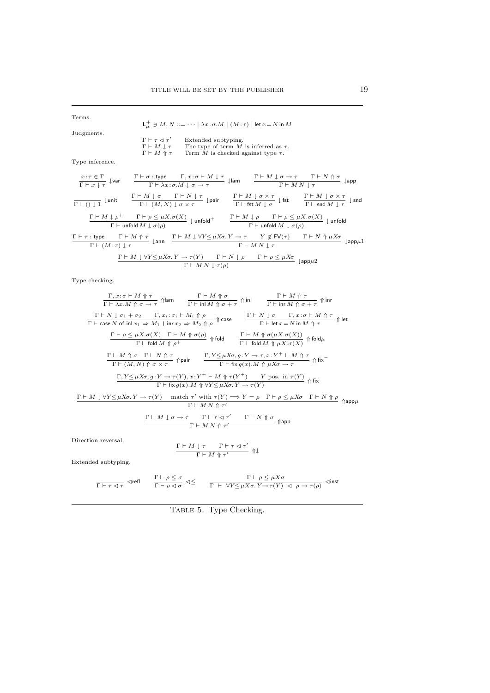Terms.  ${\sf L}^+_\mu\ni M,N::=\cdots\mid\lambda x\!:\!\sigma.M\mid (M\!:\!\tau)\mid\mathsf{let}\,x\!=\!N$  in  $M$ Judgments.  $\begin{array}{l} \Gamma \vdash \tau \lhd \tau' \\ \Gamma \vdash M \downarrow \tau \\ \Gamma \vdash M \Uparrow \tau \end{array}$  $\Gamma \vdash \tau \lhd \tau'$  Extended subtyping.<br>  $\Gamma \vdash M \downarrow \tau$  The type of term M is inferred as  $\tau$ .<br>  $\Gamma \vdash M \Uparrow \tau$  Term M is checked against type  $\tau$ . Type inference.  $x:\tau\in\Gamma$  $\frac{x+1}{\Gamma \vdash x \downarrow \tau}$   $\downarrow$  var  $\Gamma \vdash \sigma :$  type  $\qquad \Gamma, x : \sigma \vdash M \downarrow \tau$  $\frac{\Gamma : \text{type}}{\Gamma \vdash \lambda x : \sigma. M \downarrow \sigma \to \tau}$   $\downarrow$  lam  $\frac{\Gamma \vdash M \downarrow \sigma \to \tau}{\Gamma \vdash M N \downarrow \tau}$ Γ ` M N ↓ τ ↓app  $\overline{\Gamma \vdash () \downarrow 1}$   $\downarrow$ unit  $\Gamma \vdash M \downarrow \sigma$   $\Gamma \vdash N \downarrow \tau$  $\frac{\Gamma \vdash M \downarrow \sigma}{\Gamma \vdash (M, N) \downarrow \sigma \times \tau}$   $\downarrow$  pair  $\frac{\Gamma \vdash M \downarrow \sigma \times \tau}{\Gamma \vdash \mathsf{fst} M \downarrow \sigma}$  $\frac{\Gamma \vdash M \downarrow \sigma \times \tau}{\Gamma \vdash \mathsf{fst} M \downarrow \sigma} \downarrow \mathsf{fst} \qquad \frac{\Gamma \vdash M \downarrow \sigma \times \tau}{\Gamma \vdash \mathsf{snd} M \downarrow \tau}$  $\frac{1}{\Gamma \vdash \mathsf{snd} \, M \downarrow \tau}$   $\downarrow$  snd  $\Gamma \vdash M \downarrow \rho^+$   $\Gamma \vdash \rho \leq \mu X. \sigma(X)$  $\begin{array}{lll} \downarrow \rho^+ & \Gamma \vdash \rho \leq \mu X. \sigma(X) \ \hline \Gamma \vdash \mathsf{unfold} \, \mathsf{M} \downarrow \sigma(\rho) & & \Gamma \vdash \mathsf{M} \downarrow \rho & \Gamma \vdash \rho \leq \mu X. \sigma(X) \ \hline \Gamma \vdash \mathsf{unfold} \, \mathsf{M} \downarrow \sigma(\rho) & & \Gamma \vdash \mathsf{unfold} \, \mathsf{M} \downarrow \sigma(\rho) \end{array}$  $\Gamma \vdash \tau :$  type  $\Gamma \vdash M \Uparrow \tau$  $\frac{\Gamma \vdash M \Uparrow \tau}{\Gamma \vdash (M : \tau) \downarrow \tau}$  ↓ann  $\frac{\Gamma \vdash M \downarrow \forall Y {\leq} \mu X \sigma. Y \rightarrow \tau \qquad Y \not\in \textsf{FV}(\tau) \qquad \Gamma \vdash N \Uparrow \mu X \sigma}{\Gamma \vdash M \, N \downarrow \tau}$  $\frac{1}{\Gamma} \vdash M N \downarrow \tau$   $\downarrow$  app $\mu$ 1  $\Gamma \vdash M \downarrow \forall Y \leq \mu X \sigma. Y \rightarrow \tau(Y)$   $\Gamma \vdash N \downarrow \rho$   $\Gamma \vdash \rho \leq \mu X \sigma$  $\frac{\Gamma \vdash N \setminus \cdots \setminus \Gamma \vdash \cdots \setminus \Gamma \vdash \rho \rightrightarrows \rho \text{ mod } 2}{\Gamma \vdash M \cdot N \downarrow \tau(\rho)}$ 

Type checking.

| $\Gamma, x : \sigma \vdash M \uparrow \tau$                   | $\Gamma \vdash M \uparrow \sigma$                 | $\Gamma \vdash M \uparrow \sigma$                  | $\Gamma \vdash M \uparrow \sigma$   |                                             |                               |                                             |                               |          |          |          |          |          |          |          |          |          |          |          |          |          |          |          |          |          |          |          |          |          |          |          |          |          |          |          |          |          |          |          |          |
|---------------------------------------------------------------|---------------------------------------------------|----------------------------------------------------|-------------------------------------|---------------------------------------------|-------------------------------|---------------------------------------------|-------------------------------|----------|----------|----------|----------|----------|----------|----------|----------|----------|----------|----------|----------|----------|----------|----------|----------|----------|----------|----------|----------|----------|----------|----------|----------|----------|----------|----------|----------|----------|----------|----------|----------|
| $\Gamma \vdash \lambda x. M \uparrow \sigma \rightarrow \tau$ | $\Uparrow \Pi$                                    | $\Gamma \vdash \text{in} M \uparrow \sigma + \tau$ | $\Uparrow \Pi$                      | $\Gamma \vdash \text{in} M \uparrow \tau$   | $\Uparrow \Pi$                |                                             |                               |          |          |          |          |          |          |          |          |          |          |          |          |          |          |          |          |          |          |          |          |          |          |          |          |          |          |          |          |          |          |          |          |
| $\Gamma \vdash N \downarrow \sigma_1 + \sigma_2$              | $\Gamma, x_i : \sigma_i \vdash M_i \uparrow \rho$ | $\Gamma$ case                                      | $\Gamma \vdash N \downarrow \sigma$ | $\Gamma, x : \sigma \vdash M \uparrow \tau$ | $\Gamma \vdash \text{in} \pi$ | $\Gamma, x : \sigma \vdash M \uparrow \tau$ | $\Gamma \vdash \text{in} \pi$ | $\Gamma$ | $\Gamma$ | $\Gamma$ | $\Gamma$ | $\Gamma$ | $\Gamma$ | $\Gamma$ | $\Gamma$ | $\Gamma$ | $\Gamma$ | $\Gamma$ | $\Gamma$ | $\Gamma$ | $\Gamma$ | $\Gamma$ | $\Gamma$ | $\Gamma$ | $\Gamma$ | $\Gamma$ | $\Gamma$ | $\Gamma$ | $\Gamma$ | $\Gamma$ | $\Gamma$ | $\Gamma$ | $\Gamma$ | $\Gamma$ | $\Gamma$ | $\Gamma$ | $\Gamma$ | $\Gamma$ | $\Gamma$ |

Direction reversal.

$$
\frac{\Gamma\vdash M\downarrow\tau\qquad\Gamma\vdash\tau\lhd\tau'}{\Gamma\vdash M\Uparrow\tau'}\Uparrow\downarrow
$$

Extended subtyping.

$$
\frac{\Gamma\vdash\rho\leq\mu X\sigma}{\Gamma\vdash\tau\lhd\tau}\quad\text{and}\quad\quad \frac{\Gamma\vdash\rho\leq\sigma}{\Gamma\vdash\rho\lhd\sigma}\;\lhd\leq\quad \quad \frac{\Gamma\vdash\rho\leq\mu X\sigma}{\Gamma\vdash\;\forall Y\leq\mu X\sigma.\,Y\to\tau(Y)\;\lhd\;\rho\to\tau(\rho)}\;\,\text{dinst}
$$

TABLE 5. Type Checking.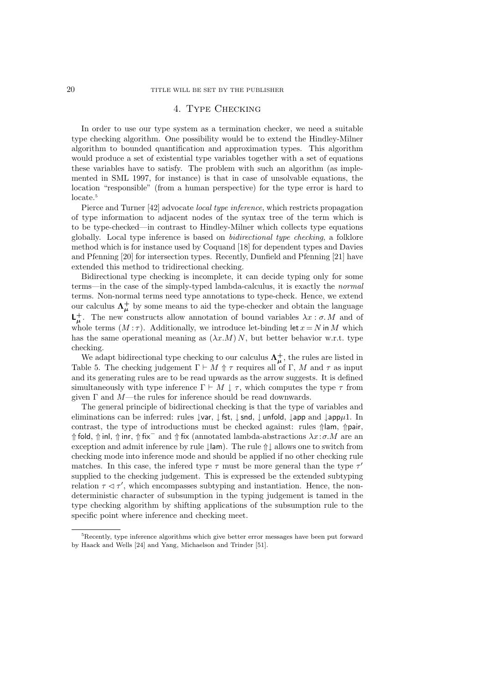## 4. Type Checking

In order to use our type system as a termination checker, we need a suitable type checking algorithm. One possibility would be to extend the Hindley-Milner algorithm to bounded quantification and approximation types. This algorithm would produce a set of existential type variables together with a set of equations these variables have to satisfy. The problem with such an algorithm (as implemented in SML 1997, for instance) is that in case of unsolvable equations, the location "responsible" (from a human perspective) for the type error is hard to locate.<sup>5</sup>

Pierce and Turner [42] advocate *local type inference*, which restricts propagation of type information to adjacent nodes of the syntax tree of the term which is to be type-checked—in contrast to Hindley-Milner which collects type equations globally. Local type inference is based on bidirectional type checking, a folklore method which is for instance used by Coquand [18] for dependent types and Davies and Pfenning [20] for intersection types. Recently, Dunfield and Pfenning [21] have extended this method to tridirectional checking.

Bidirectional type checking is incomplete, it can decide typing only for some terms—in the case of the simply-typed lambda-calculus, it is exactly the normal terms. Non-normal terms need type annotations to type-check. Hence, we extend our calculus  $\Lambda^{\pm}_{\mu}$  by some means to aid the type-checker and obtain the language  $\mathsf{L}_{\mu}^+$ . The new constructs allow annotation of bound variables  $\lambda x : \sigma M$  and of whole terms  $(M:\tau)$ . Additionally, we introduce let-binding let  $x = N$  in M which has the same operational meaning as  $(\lambda x.M) N$ , but better behavior w.r.t. type checking.

We adapt bidirectional type checking to our calculus  $\Lambda^+_\mu$ , the rules are listed in Table 5. The checking judgement  $\Gamma \vdash M \Uparrow \tau$  requires all of  $\Gamma$ , M and  $\tau$  as input and its generating rules are to be read upwards as the arrow suggests. It is defined simultaneously with type inference  $\Gamma \vdash M \downarrow \tau$ , which computes the type  $\tau$  from given  $\Gamma$  and  $M$ —the rules for inference should be read downwards.

The general principle of bidirectional checking is that the type of variables and eliminations can be inferred: rules  $\downarrow$ var,  $\downarrow$  fst,  $\downarrow$  snd,  $\downarrow$  unfold,  $\downarrow$ app and  $\downarrow$ app $\mu$ 1. In contrast, the type of introductions must be checked against: rules  $\Uparrow$ lam,  $\Uparrow$ pair,  $↑$  fold,  $↑$  inl,  $↑$  inr,  $↑$  fix<sup>−</sup> and  $↑$  fix (annotated lambda-abstractions  $λx:\sigma.M$  are an exception and admit inference by rule ↓lam). The rule ↑↓ allows one to switch from checking mode into inference mode and should be applied if no other checking rule matches. In this case, the infered type  $\tau$  must be more general than the type  $\tau'$ supplied to the checking judgement. This is expressed be the extended subtyping relation  $\tau \leq \tau'$ , which encompasses subtyping and instantiation. Hence, the nondeterministic character of subsumption in the typing judgement is tamed in the type checking algorithm by shifting applications of the subsumption rule to the specific point where inference and checking meet.

<sup>5</sup>Recently, type inference algorithms which give better error messages have been put forward by Haack and Wells [24] and Yang, Michaelson and Trinder [51].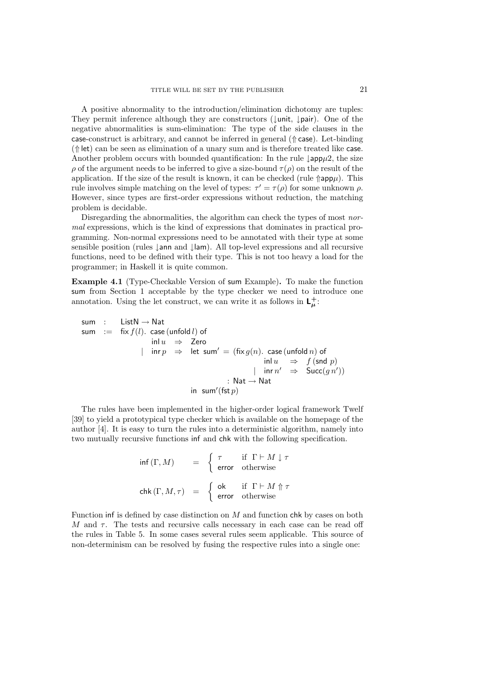A positive abnormality to the introduction/elimination dichotomy are tuples: They permit inference although they are constructors (↓unit, ↓pair). One of the negative abnormalities is sum-elimination: The type of the side clauses in the case-construct is arbitrary, and cannot be inferred in general (⇑ case). Let-binding  $(\Uparrow$  let) can be seen as elimination of a unary sum and is therefore treated like case. Another problem occurs with bounded quantification: In the rule  $\downarrow$ app $\mu$ 2, the size ρ of the argument needs to be inferred to give a size-bound  $\tau(\rho)$  on the result of the application. If the size of the result is known, it can be checked (rule  $\eta$ app $\mu$ ). This rule involves simple matching on the level of types:  $\tau' = \tau(\rho)$  for some unknown  $\rho$ . However, since types are first-order expressions without reduction, the matching problem is decidable.

Disregarding the abnormalities, the algorithm can check the types of most normal expressions, which is the kind of expressions that dominates in practical programming. Non-normal expressions need to be annotated with their type at some sensible position (rules ↓ann and ↓lam). All top-level expressions and all recursive functions, need to be defined with their type. This is not too heavy a load for the programmer; in Haskell it is quite common.

Example 4.1 (Type-Checkable Version of sum Example). To make the function sum from Section 1 acceptable by the type checker we need to introduce one annotation. Using the let construct, we can write it as follows in  $\mathsf{L}_{\mu}^{+}$ :

$$
\begin{array}{rcl} \mathsf{sum} & : & \mathsf{ListN} \rightarrow \mathsf{Nat} \\ \mathsf{sum} & : = & \mathsf{fix}\, f(l). \mathsf{case}\,(\mathsf{unfold}\, l) \,\,\mathsf{of} \\ & \mathsf{inl}\, u & \Rightarrow & \mathsf{Zero} \\ & | & \mathsf{inr}\, p & \Rightarrow & \mathsf{let}\, \mathsf{sum'} = (\mathsf{fix}\, g(n). \mathsf{case}\,(\mathsf{unfold}\, n) \,\,\mathsf{of} \\ & & \mathsf{inl}\, u & \Rightarrow & f\,(\mathsf{snd}\, p) \\ & | & \mathsf{inr}\, n' & \Rightarrow & \mathsf{Succ}(g\, n') ) \\ & : \mathsf{Nat} \rightarrow \mathsf{Nat} \\ & \mathsf{in}\, \mathsf{sum'}(\mathsf{fst}\, p) \end{array}
$$

The rules have been implemented in the higher-order logical framework Twelf [39] to yield a prototypical type checker which is available on the homepage of the author [4]. It is easy to turn the rules into a deterministic algorithm, namely into two mutually recursive functions inf and chk with the following specification.

$$
\inf(\Gamma, M) = \begin{cases} \tau & \text{if } \Gamma \vdash M \downarrow \tau \\ \text{error} & \text{otherwise} \end{cases}
$$
  

$$
\operatorname{chk}(\Gamma, M, \tau) = \begin{cases} \operatorname{ok} & \text{if } \Gamma \vdash M \Uparrow \tau \\ \text{error} & \text{otherwise} \end{cases}
$$

Function inf is defined by case distinction on M and function chk by cases on both  $M$  and  $\tau$ . The tests and recursive calls necessary in each case can be read off the rules in Table 5. In some cases several rules seem applicable. This source of non-determinism can be resolved by fusing the respective rules into a single one: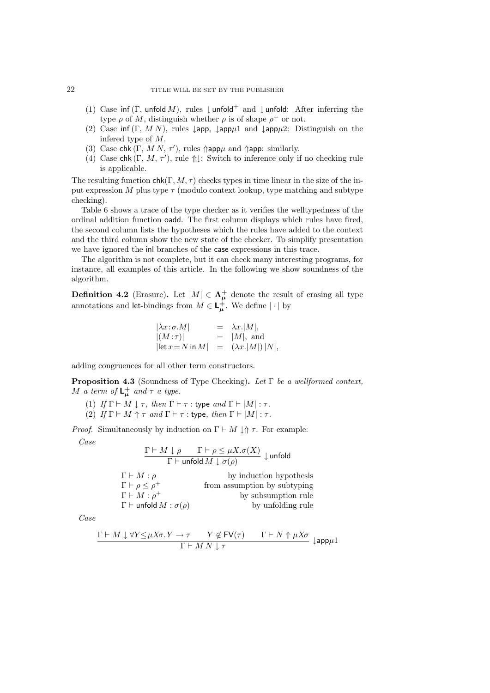- (1) Case inf (Γ, unfold M), rules  $\downarrow$  unfold<sup>+</sup> and  $\downarrow$  unfold: After inferring the type  $\rho$  of M, distinguish whether  $\rho$  is of shape  $\rho^+$  or not.
- (2) Case inf  $(\Gamma, MN)$ , rules  $\downarrow$ app,  $\downarrow$ app $\mu$ 1 and  $\downarrow$ app $\mu$ 2: Distinguish on the infered type of M.
- (3) Case chk  $(\Gamma, M N, \tau')$ , rules  $\Uparrow$  app $\mu$  and  $\Uparrow$  app: similarly.
- (4) Case chk  $(\Gamma, M, \tau')$ , rule  $\Uparrow \downarrow$ : Switch to inference only if no checking rule is applicable.

The resulting function  $\mathsf{chk}(\Gamma, M, \tau)$  checks types in time linear in the size of the input expression M plus type  $\tau$  (modulo context lookup, type matching and subtype checking).

Table 6 shows a trace of the type checker as it verifies the welltypedness of the ordinal addition function oadd. The first column displays which rules have fired, the second column lists the hypotheses which the rules have added to the context and the third column show the new state of the checker. To simplify presentation we have ignored the inl branches of the case expressions in this trace.

The algorithm is not complete, but it can check many interesting programs, for instance, all examples of this article. In the following we show soundness of the algorithm.

**Definition 4.2** (Erasure). Let  $|M| \in \Lambda_{\mu}^{+}$  denote the result of erasing all type annotations and let-bindings from  $M \in L^+_{\mu}$ . We define  $|\cdot|$  by

$$
|\lambda x : \sigma.M| = \lambda x . |M|,
$$
  
\n
$$
|(M : \tau)| = |M|, \text{ and}
$$
  
\n
$$
|\text{let } x = N \text{ in } M| = (\lambda x . |M|) |N|,
$$

adding congruences for all other term constructors.

Proposition 4.3 (Soundness of Type Checking). Let Γ be a wellformed context, M a term of  $L^+_\mu$  and  $\tau$  a type.

- (1) If  $\Gamma \vdash M \downarrow \tau$ , then  $\Gamma \vdash \tau$  : type and  $\Gamma \vdash |M| : \tau$ .
- (2) If  $\Gamma \vdash M \Uparrow \tau$  and  $\Gamma \vdash \tau :$  type, then  $\Gamma \vdash |M| : \tau$ .

*Proof.* Simultaneously by induction on  $\Gamma \vdash M \downarrow \Uparrow \tau$ . For example: Case

$$
\frac{\Gamma \vdash M \downarrow \rho \qquad \Gamma \vdash \rho \leq \mu X. \sigma(X)}{\Gamma \vdash \mathsf{unfold}\, M \downarrow \sigma(\rho)} \downarrow \mathsf{unfold}
$$
\n
$$
\Gamma \vdash M : \rho \qquad \qquad \text{by induction hypothesis}
$$
\n
$$
\Gamma \vdash \rho \leq \rho^+ \qquad \qquad \text{from assumption by subtyping}
$$
\n
$$
\Gamma \vdash M : \rho^+ \qquad \qquad \text{by subsumption rule}
$$
\n
$$
\Gamma \vdash \mathsf{unfold}\, M : \sigma(\rho) \qquad \qquad \text{by unfolding rule}
$$

Case

$$
\frac{\Gamma \vdash M \downarrow \forall Y \leq \mu X \sigma. Y \to \tau \qquad Y \notin \text{FV}(\tau) \qquad \Gamma \vdash N \Uparrow \mu X \sigma}{\Gamma \vdash M \ N \downarrow \tau} \downarrow \text{app}\mu 1
$$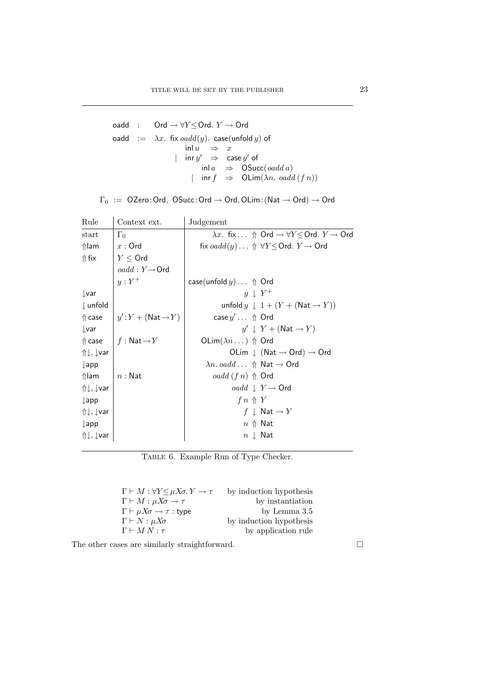$$
\begin{array}{rcl} \text{oadd} & : & \text{Ord} \rightarrow \forall Y \leq \text{Ord}. \ Y \rightarrow \text{Ord} \\ \text{oadd} & := & \lambda x. \ \text{fix } \text{oadd}(y). \ \text{case}(\text{unfold } y) \ \text{of} \\ & & \text{inl } u & \Rightarrow & x \\ & & | & \text{inr } y' \Rightarrow & \text{case } y' \ \text{of} \\ & & & \text{inl } a & \Rightarrow & \text{OSucc}(\text{oadd } a) \\ & & | & \text{inr } f & \Rightarrow & \text{OLim}(\lambda n. \ \text{oadd } (f\ n)) \end{array}
$$

|  |  |  | $\Gamma_0 \ := \ \mathsf{OZero}\!:\!\mathsf{Ord},\ \mathsf{OSucc}\!:\!\mathsf{Ord}\to\mathsf{Ord},\mathsf{OLim}\!:\!(\mathsf{Nat}\to\mathsf{Ord})\to\mathsf{Ord}$ |  |  |  |  |
|--|--|--|-------------------------------------------------------------------------------------------------------------------------------------------------------------------|--|--|--|--|
|--|--|--|-------------------------------------------------------------------------------------------------------------------------------------------------------------------|--|--|--|--|

| Rule                | Context ext.                          | Judgement                                                                              |  |
|---------------------|---------------------------------------|----------------------------------------------------------------------------------------|--|
| start               | $\Gamma_0$                            | $\lambda x$ . fix $\Uparrow$ Ord $\rightarrow \forall Y \leq$ Ord. $Y \rightarrow$ Ord |  |
| $\Uparrow$ lam      | $x:$ Ord                              | fix $oaddy) \ldots \Uparrow \forall Y \leq \textsf{Ord}. \ Y \rightarrow \textsf{Ord}$ |  |
| $\Uparrow$ fix      | $Y \leq$ Ord                          |                                                                                        |  |
|                     | $oadd: Y \rightarrow$ Ord             |                                                                                        |  |
|                     | $y:Y^+$                               | case(unfold $y$ ) $\Uparrow$ Ord                                                       |  |
| $\downarrow$ var    |                                       | $y \perp Y^+$                                                                          |  |
| $\downarrow$ unfold |                                       | unfold $y \downarrow 1 + (Y + (Nat \rightarrow Y))$                                    |  |
| $\Uparrow$ case     | $ y':Y + (Nat \rightarrow Y)$         | case $y' \dots \text{ } \Uparrow$ Ord                                                  |  |
| $\downarrow$ var    |                                       | $y' \downarrow Y + (\text{Nat} \rightarrow Y)$                                         |  |
| $\Uparrow$ case     | $\mid f : \mathsf{Nat} \rightarrow Y$ | OLim $(\lambda n \dots)$ $\Uparrow$ Ord                                                |  |
| ↑↓, ↓var            |                                       | OLim $\downarrow$ (Nat $\rightarrow$ Ord) $\rightarrow$ Ord                            |  |
| $\downarrow$ app    |                                       | $\lambda n. \text{ } oadd \ldots \text{ } \Uparrow$ Nat $\rightarrow$ Ord              |  |
| $\Uparrow$ lam      | $n:$ Nat                              | <i>oadd</i> $(f n) \text{ } \text{\ensuremath{\uparrow}}$ Ord                          |  |
| ↑↓, ↓var            |                                       | <i>oadd</i> $\perp$ $Y \rightarrow$ Ord                                                |  |
| $\downarrow$ app    |                                       | $f n \uparrow Y$                                                                       |  |
| ↑↓, ↓var            |                                       | $f \perp \mathsf{Nat} \rightarrow Y$                                                   |  |
| $\downarrow$ app    |                                       | $n \uparrow$ Nat                                                                       |  |
| ↑↓, ↓var            |                                       | $n \downarrow$ Nat                                                                     |  |

TABLE 6. Example Run of Type Checker.

| $\Gamma \vdash M : \forall Y \leq \mu X \sigma. Y \rightarrow \tau$ | by induction hypothesis |
|---------------------------------------------------------------------|-------------------------|
| $\Gamma \vdash M : \mu X\sigma \rightarrow \tau$                    | by instantiation        |
| $\Gamma \vdash \mu X\sigma \rightarrow \tau :$ type                 | by Lemma 3.5            |
| $\Gamma \vdash N : \mu X \sigma$                                    | by induction hypothesis |
| $\Gamma \vdash M N : \tau$                                          | by application rule     |

The other cases are similarly straightforward.  $\hfill \Box$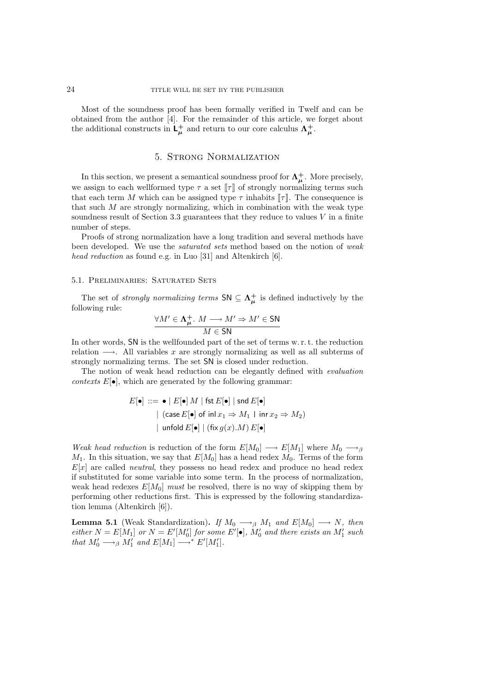Most of the soundness proof has been formally verified in Twelf and can be obtained from the author [4]. For the remainder of this article, we forget about the additional constructs in  $L^{\dagger}_{\mu}$  and return to our core calculus  $\Lambda^{\dagger}_{\mu}$ .

### 5. Strong Normalization

In this section, we present a semantical soundness proof for  $\Lambda^+_\mu$ . More precisely, we assign to each wellformed type  $\tau$  a set  $\llbracket \tau \rrbracket$  of strongly normalizing terms such that each term M which can be assigned type  $\tau$  inhabits  $\llbracket \tau \rrbracket$ . The consequence is that such  $M$  are strongly normalizing, which in combination with the weak type soundness result of Section 3.3 guarantees that they reduce to values  $V$  in a finite number of steps.

Proofs of strong normalization have a long tradition and several methods have been developed. We use the *saturated sets* method based on the notion of weak head reduction as found e.g. in Luo [31] and Altenkirch [6].

#### 5.1. Preliminaries: Saturated Sets

The set of *strongly normalizing terms*  $SN \subseteq \Lambda_{\mu}^{+}$  is defined inductively by the following rule:

$$
\frac{\forall M' \in \Lambda^+_{\mu}. \ M \longrightarrow M' \Rightarrow M' \in SN}{M \in SN}
$$

In other words, SN is the wellfounded part of the set of terms w. r. t. the reduction relation  $\longrightarrow$ . All variables x are strongly normalizing as well as all subterms of strongly normalizing terms. The set SN is closed under reduction.

The notion of weak head reduction can be elegantly defined with evaluation contexts  $E[\bullet]$ , which are generated by the following grammar:

$$
E[\bullet] ::= \bullet | E[\bullet] M | \text{fst } E[\bullet] | \text{snd } E[\bullet]
$$
  
 | (case  $E[\bullet]$  of inl  $x_1 \Rightarrow M_1 | \text{inr } x_2 \Rightarrow M_2$ )  
 | unfold  $E[\bullet] | (\text{fix } g(x).M) E[\bullet]$ 

Weak head reduction is reduction of the form  $E[M_0] \longrightarrow E[M_1]$  where  $M_0 \longrightarrow_{\beta}$  $M_1$ . In this situation, we say that  $E[M_0]$  has a head redex  $M_0$ . Terms of the form  $E[x]$  are called *neutral*, they possess no head redex and produce no head redex if substituted for some variable into some term. In the process of normalization, weak head redexes  $E[M_0]$  must be resolved, there is no way of skipping them by performing other reductions first. This is expressed by the following standardization lemma (Altenkirch [6]).

**Lemma 5.1** (Weak Standardization). If  $M_0 \longrightarrow_\beta M_1$  and  $E[M_0] \longrightarrow N$ , then either  $N = E[M_1]$  or  $N = E'[M'_0]$  for some  $E'[\bullet]$ ,  $M'_0$  and there exists an  $M'_1$  such that  $M'_0 \longrightarrow_\beta M'_1$  and  $E[M_1] \longrightarrow^* E'[M'_1]$ .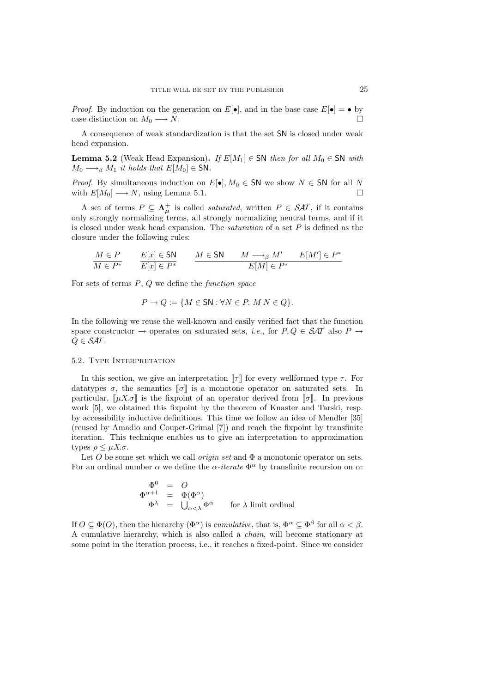*Proof.* By induction on the generation on  $E[\bullet]$ , and in the base case  $E[\bullet] = \bullet$  by case distinction on  $M_0 \longrightarrow N$ .

A consequence of weak standardization is that the set SN is closed under weak head expansion.

**Lemma 5.2** (Weak Head Expansion). If  $E[M_1] \in SN$  then for all  $M_0 \in SN$  with  $M_0 \longrightarrow_\beta M_1$  it holds that  $E[M_0] \in SN$ .

*Proof.* By simultaneous induction on  $E[\bullet]$ ,  $M_0 \in SN$  we show  $N \in SN$  for all N with  $E[M_0] \longrightarrow N$ , using Lemma 5.1.

A set of terms  $P \subseteq \Lambda_{\mu}^{+}$  is called *saturated*, written  $P \in \mathcal{SAT}$ , if it contains only strongly normalizing terms, all strongly normalizing neutral terms, and if it is closed under weak head expansion. The *saturation* of a set  $P$  is defined as the closure under the following rules:

$$
\frac{M \in P}{M \in P^*} \qquad \frac{E[x] \in \mathsf{SN}}{E[x] \in P^*} \qquad \frac{M \in \mathsf{SN} \qquad M \longrightarrow_{\beta} M' \qquad E[M'] \in P^*}{E[M] \in P^*}
$$

For sets of terms  $P, Q$  we define the function space

$$
P \to Q := \{ M \in \mathsf{SN} : \forall N \in P. \ M \ N \in Q \}.
$$

In the following we reuse the well-known and easily verified fact that the function space constructor  $\rightarrow$  operates on saturated sets, *i.e.*, for  $P, Q \in \mathcal{SAT}$  also  $P \rightarrow$  $Q \in \mathcal{S}AT$ .

#### 5.2. Type Interpretation

In this section, we give an interpretation  $\llbracket \tau \rrbracket$  for every wellformed type  $\tau$ . For datatypes  $\sigma$ , the semantics  $[\![\sigma]\!]$  is a monotone operator on saturated sets. In particular,  $[\,\mu X.\sigma]$  is the fixpoint of an operator derived from  $[\![\sigma]\!]$ . In previous work [5], we obtained this fixpoint by the theorem of Knaster and Tarski, resp. by accessibility inductive definitions. This time we follow an idea of Mendler [35] (reused by Amadio and Coupet-Grimal [7]) and reach the fixpoint by transfinite iteration. This technique enables us to give an interpretation to approximation types  $\rho \leq \mu X.\sigma$ .

Let O be some set which we call *origin set* and  $\Phi$  a monotonic operator on sets. For an ordinal number  $\alpha$  we define the  $\alpha$ -iterate  $\Phi^{\alpha}$  by transfinite recursion on  $\alpha$ :

$$
\begin{array}{rcl}\n\Phi^0 & = & O \\
\Phi^{\alpha+1} & = & \Phi(\Phi^\alpha) \\
\Phi^\lambda & = & \bigcup_{\alpha<\lambda}\Phi^\alpha \qquad \text{for $\lambda$ limit ordinal}\n\end{array}
$$

If  $O \subseteq \Phi(O)$ , then the hierarchy  $(\Phi^{\alpha})$  is *cumulative*, that is,  $\Phi^{\alpha} \subseteq \Phi^{\beta}$  for all  $\alpha < \beta$ . A cumulative hierarchy, which is also called a chain, will become stationary at some point in the iteration process, i.e., it reaches a fixed-point. Since we consider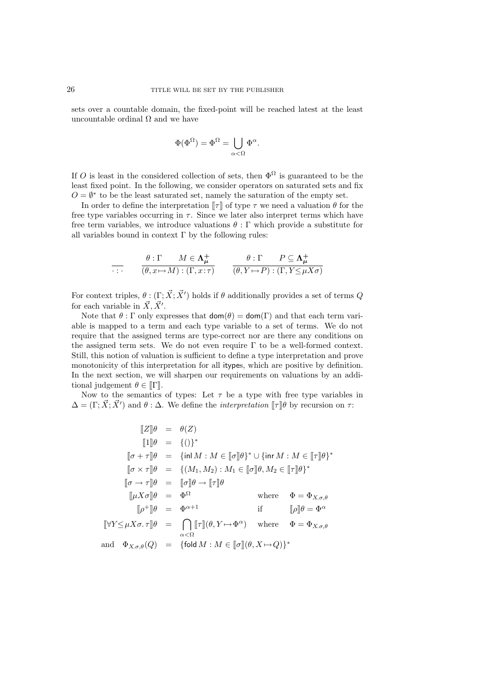sets over a countable domain, the fixed-point will be reached latest at the least uncountable ordinal  $\Omega$  and we have

$$
\Phi(\Phi^\Omega)=\Phi^\Omega=\bigcup_{\alpha<\Omega}\Phi^\alpha.
$$

If O is least in the considered collection of sets, then  $\Phi^{\Omega}$  is guaranteed to be the least fixed point. In the following, we consider operators on saturated sets and fix  $O = \emptyset^*$  to be the least saturated set, namely the saturation of the empty set.

In order to define the interpretation  $\llbracket \tau \rrbracket$  of type  $\tau$  we need a valuation  $\theta$  for the free type variables occurring in  $\tau$ . Since we later also interpret terms which have free term variables, we introduce valuations  $\theta : \Gamma$  which provide a substitute for all variables bound in context  $\Gamma$  by the following rules:

$$
\overline{\cdot \cdot \cdot} \qquad \frac{\theta : \Gamma \qquad M \in \Lambda_{\mu}^{+}}{(\theta, x \mapsto M) : (\Gamma, x : \tau)} \qquad \frac{\theta : \Gamma \qquad P \subseteq \Lambda_{\mu}^{+}}{(\theta, Y \mapsto P) : (\Gamma, Y \leq \mu X \sigma)}
$$

For context triples,  $\theta : (\Gamma; \vec{X}; \vec{X}')$  holds if  $\theta$  additionally provides a set of terms Q for each variable in  $\vec{X}, \vec{X}'$ .

Note that  $\theta$ : Γ only expresses that  $\text{dom}(\theta) = \text{dom}(\Gamma)$  and that each term variable is mapped to a term and each type variable to a set of terms. We do not require that the assigned terms are type-correct nor are there any conditions on the assigned term sets. We do not even require  $\Gamma$  to be a well-formed context. Still, this notion of valuation is sufficient to define a type interpretation and prove monotonicity of this interpretation for all itypes, which are positive by definition. In the next section, we will sharpen our requirements on valuations by an additional judgement  $\theta \in [\![\Gamma]\!]$ .

Now to the semantics of types: Let  $\tau$  be a type with free type variables in  $\Delta = (\Gamma; \vec{X}; \vec{X}')$  and  $\theta : \Delta$ . We define the *interpretation*  $[\![\tau]\!] \theta$  by recursion on  $\tau$ :

$$
\begin{aligned}\n\llbracket Z \rrbracket \theta &= \theta(Z) \\
\llbracket 1 \rrbracket \theta &= \{()\}^* \\
\llbracket \sigma + \tau \rrbracket \theta &= \{\text{inl } M : M \in [\![\sigma]\!] \theta\}^* \cup \{\text{inr } M : M \in [\![\tau]\!] \theta\}^* \\
\llbracket \sigma \times \tau \rrbracket \theta &= \{(M_1, M_2) : M_1 \in [\![\sigma]\!] \theta, M_2 \in [\![\tau]\!] \theta\}^* \\
\llbracket \sigma \to \tau \rrbracket \theta &= \llbracket \sigma \rrbracket \theta \to [\![\tau]\!] \theta \\
\llbracket \mu X \sigma \rrbracket \theta &= \Phi^\Omega \qquad \text{where} \quad \Phi = \Phi_{X, \sigma, \theta} \\
\llbracket \rho^+ \rrbracket \theta &= \Phi^{\alpha+1} \qquad \text{if} \qquad [\![\rho]\!] \theta = \Phi^\alpha \\
\llbracket \forall Y \leq \mu X \sigma, \tau \rrbracket \theta &= \bigcap_{\alpha < \Omega} [\![\tau]\!] (\theta, Y \mapsto \Phi^\alpha) \quad \text{where} \quad \Phi = \Phi_{X, \sigma, \theta} \\
\text{and} \quad \Phi_{X, \sigma, \theta}(Q) &= \{\text{fold } M : M \in [\![\sigma]\!](\theta, X \mapsto Q)\}^* \n\end{aligned}
$$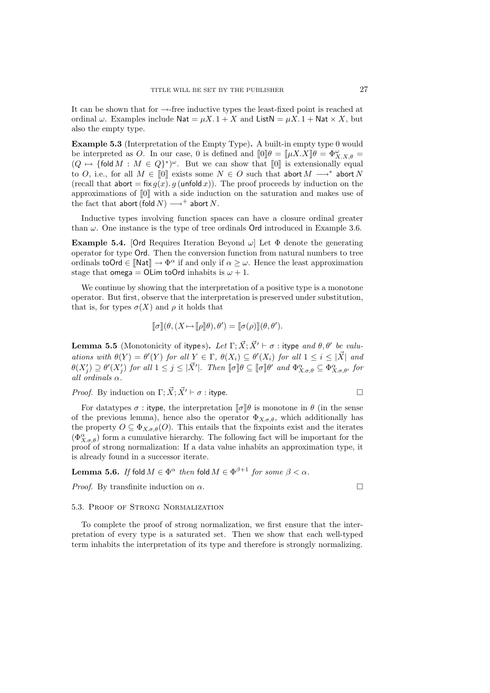It can be shown that for  $\rightarrow$ -free inductive types the least-fixed point is reached at ordinal  $\omega$ . Examples include Nat =  $\mu X$ . 1 + X and ListN =  $\mu X$ . 1 + Nat  $\times X$ , but also the empty type.

Example 5.3 (Interpretation of the Empty Type). A built-in empty type 0 would be interpreted as O. In our case, 0 is defined and  $[\![0]\!] \theta = [\![\mu X.X]\!] \theta = \Phi_{X.X,\theta}^{\omega}$  $(Q \mapsto {\text{fold }M} : M \in Q^{\ast})^{\omega}$ . But we can show that  $[0]$  is extensionally equal to O, i.e., for all  $M \in [0]$  exists some  $N \in O$  such that abort  $M \longrightarrow^*$  abort N (recall that abort = fix  $g(x)$ . g (unfold x)). The proof proceeds by induction on the approximations of  $[0]$  with a side induction on the saturation and makes use of the fact that abort (fold  $N$ )  $\longrightarrow$ <sup>+</sup> abort N.

Inductive types involving function spaces can have a closure ordinal greater than  $\omega$ . One instance is the type of tree ordinals Ord introduced in Example 3.6.

**Example 5.4.** [Ord Requires Iteration Beyond  $\omega$ ] Let  $\Phi$  denote the generating operator for type Ord. Then the conversion function from natural numbers to tree ordinals toOrd  $\in \llbracket \mathsf{Nat} \rrbracket \to \Phi^\alpha$  if and only if  $\alpha \geq \omega$ . Hence the least approximation stage that omega = OLim toOrd inhabits is  $\omega + 1$ .

We continue by showing that the interpretation of a positive type is a monotone operator. But first, observe that the interpretation is preserved under substitution, that is, for types  $\sigma(X)$  and  $\rho$  it holds that

$$
\llbracket \sigma \rrbracket(\theta, (X \mapsto \llbracket \rho \rrbracket \theta), \theta') = \llbracket \sigma(\rho) \rrbracket(\theta, \theta').
$$

**Lemma 5.5** (Monotonicity of itypes). Let  $\Gamma$ ;  $\vec{X}$ ;  $\vec{X}' \vdash \sigma$  : itype and  $\theta$ ,  $\theta'$  be valuations with  $\theta(Y) = \theta'(Y)$  for all  $Y \in \Gamma$ ,  $\theta(X_i) \subseteq \theta'(X_i)$  for all  $1 \leq i \leq |\mathbf{X}|$  and  $\theta(X_j') \supseteq \theta'(X_j')$  for all  $1 \leq j \leq |\vec{X}'|$ . Then  $[\![\sigma]\!] \theta \subseteq [\![\sigma]\!] \theta'$  and  $\Phi_{X,\sigma,\theta}^{\alpha} \subseteq \Phi_{X,\sigma,\theta'}^{\alpha}$  for all ordinals  $\alpha$ .

*Proof.* By induction on 
$$
\Gamma
$$
;  $\vec{X}$ ;  $\vec{X}' \vdash \sigma$  : **type**.

For datatypes  $\sigma$ : itype, the interpretation  $[\![\sigma]\!] \theta$  is monotone in  $\theta$  (in the sense of the previous lemma), hence also the operator  $\Phi_{X,\sigma,\theta}$ , which additionally has the property  $O \subseteq \Phi_{X,\sigma,\theta}(O)$ . This entails that the fixpoints exist and the iterates  $(\Phi_{X,\sigma,\theta}^{\alpha})$  form a cumulative hierarchy. The following fact will be important for the proof of strong normalization: If a data value inhabits an approximation type, it is already found in a successor iterate.

Lemma 5.6. If fold  $M\in\Phi^\alpha$  then fold  $M\in\Phi^{\beta+1}$  for some  $\beta<\alpha.$ 

*Proof.* By transfinite induction on  $\alpha$ .

5.3. Proof of Strong Normalization

To complete the proof of strong normalization, we first ensure that the interpretation of every type is a saturated set. Then we show that each well-typed term inhabits the interpretation of its type and therefore is strongly normalizing.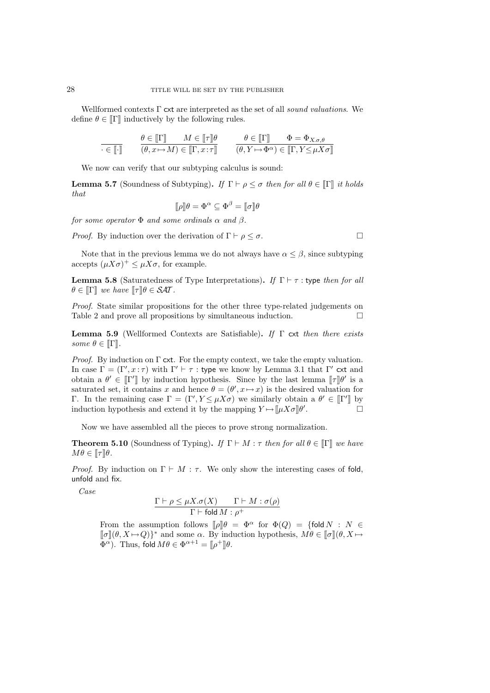Wellformed contexts  $\Gamma$  cxt are interpreted as the set of all sound valuations. We define  $\theta \in \mathbb{I} \Gamma \mathbb{I}$  inductively by the following rules.

$$
\begin{array}{ll}\n\overline{\cdot\in\llbracket\cdot\rrbracket} & \theta\in\llbracket\Gamma\rrbracket & M\in\llbracket\tau\rrbracket\theta & \theta\in\llbracket\Gamma\rrbracket & \Phi=\Phi_{X.\sigma,\theta} \\
\hline\n(\theta,x\mapsto M)\in\llbracket\Gamma,x:\tau\rrbracket & (\theta,Y\mapsto\Phi^{\alpha})\in\llbracket\Gamma,Y\leq\mu X\sigma\rrbracket\n\end{array}
$$

We now can verify that our subtyping calculus is sound:

**Lemma 5.7** (Soundness of Subtyping). If  $\Gamma \vdash \rho \leq \sigma$  then for all  $\theta \in [\Gamma]$  it holds that

$$
[\![\rho]\!]\theta = \Phi^{\alpha} \subseteq \Phi^{\beta} = [\![\sigma]\!]\theta
$$

for some operator  $\Phi$  and some ordinals  $\alpha$  and  $\beta$ .

*Proof.* By induction over the derivation of  $\Gamma \vdash \rho \leq \sigma$ .

Note that in the previous lemma we do not always have  $\alpha \leq \beta$ , since subtyping accepts  $(\mu X\sigma)^+ \leq \mu X\sigma$ , for example.

**Lemma 5.8** (Saturatedness of Type Interpretations). If  $\Gamma \vdash \tau$  : type then for all  $\theta \in \mathbb{F}$ ] we have  $\llbracket \tau \rrbracket \theta \in \mathcal{S} \mathcal{A} \mathcal{T}$ .

Proof. State similar propositions for the other three type-related judgements on Table 2 and prove all propositions by simultaneous induction.  $\Box$ 

**Lemma 5.9** (Wellformed Contexts are Satisfiable). If  $\Gamma$  cxt then there exists some  $\theta \in \mathbb{I}$ .

*Proof.* By induction on  $\Gamma$  cxt. For the empty context, we take the empty valuation. In case  $\Gamma = (\Gamma', x : \tau)$  with  $\Gamma' \vdash \tau :$  type we know by Lemma 3.1 that  $\Gamma'$  cxt and obtain a  $\theta' \in [\Gamma']$  by induction hypothesis. Since by the last lemma  $[\![\tau]\!] \theta'$  is a saturated set, it contains x and hence  $\theta = (\theta', x \mapsto x)$  is the desired valuation for Γ. In the remaining case  $\Gamma = (\Gamma', Y \leq \mu X \sigma)$  we similarly obtain a  $\theta' \in [\![\Gamma']\!]$  by induction hypothesis and extend it by the mapping  $Y \mapsto [\![\mu X \sigma]\!] \theta'$ .

Now we have assembled all the pieces to prove strong normalization.

**Theorem 5.10** (Soundness of Typing). If  $\Gamma \vdash M : \tau$  then for all  $\theta \in \mathbb{I} \mathbb{T}$  we have  $M\theta \in \llbracket \tau \rrbracket \theta.$ 

*Proof.* By induction on  $\Gamma \vdash M : \tau$ . We only show the interesting cases of fold, unfold and fix.

Case

$$
\frac{\Gamma\vdash\rho\leq\mu X.\sigma(X)\qquad\Gamma\vdash M:\sigma(\rho)}{\Gamma\vdash\textsf{fold}\,M:\rho^+}
$$

From the assumption follows  $[\![\rho]\!] \theta = \Phi^{\alpha}$  for  $\Phi(Q) = \{\text{fold } N : N \in$  $[\![\sigma]\!](\theta, X \mapsto Q)\}^*$  and some  $\alpha$ . By induction hypothesis,  $M\theta \in [\![\sigma]\!](\theta, X \mapsto$  $\Phi^{\alpha}$ ). Thus, fold  $M\theta \in \Phi^{\alpha+1} = [\![\rho^+]\!] \theta$ .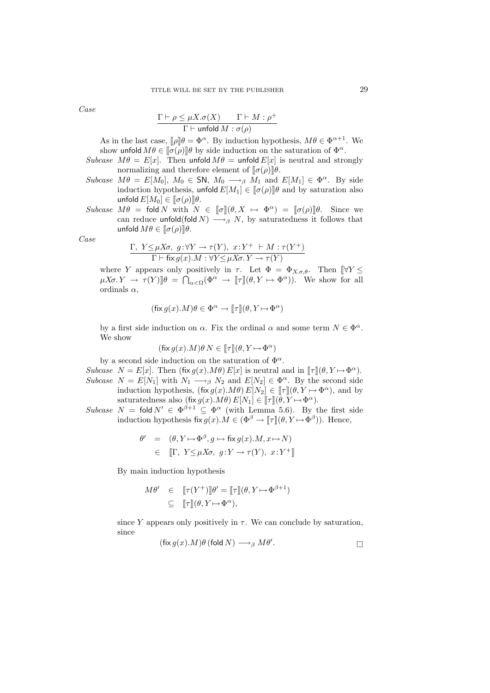Case

$$
\frac{\Gamma \vdash \rho \leq \mu X. \sigma(X) \qquad \Gamma \vdash M : \rho^+}{\Gamma \vdash \mathsf{unfold} \, M : \sigma(\rho)}
$$

As in the last case,  $[\![\rho]\!] \theta = \Phi^{\alpha}$ . By induction hypothesis,  $M\theta \in \Phi^{\alpha+1}$ . We show unfold  $M\theta \in [\![\sigma(\rho)]\!] \theta$  by side induction on the saturation of  $\Phi^{\alpha}$ .

- Subcase  $M\theta = E[x]$ . Then unfold  $M\theta = \text{unfold }E[x]$  is neutral and strongly normalizing and therefore element of  $[\![\sigma(\rho)]\!] \theta$ .
- Subcase  $M\theta = E[M_0], M_0 \in SN, M_0 \longrightarrow_\beta M_1$  and  $E[M_1] \in \Phi^\alpha$ . By side induction hypothesis, unfold  $E[M_1] \in [\![\sigma(\rho)]\!] \theta$  and by saturation also unfold  $E[M_0] \in [\![\sigma(\rho)]\!] \theta$ .
- Subcase  $M\theta = \text{fold } N$  with  $N \in \llbracket \sigma \rrbracket(\theta, X \mapsto \Phi^{\alpha}) = \llbracket \sigma(\rho) \rrbracket \theta$ . Since we can reduce unfold(fold  $N$ )  $\longrightarrow_{\beta} N$ , by saturatedness it follows that unfold  $M\theta \in [\![\sigma(\rho)]\!] \theta$ .

Case

$$
\frac{\Gamma, Y \leq \mu X \sigma, g: \forall Y \to \tau(Y), x: Y^+ \vdash M: \tau(Y^+)}{\Gamma \vdash \text{fix } g(x).M: \forall Y \leq \mu X \sigma. Y \to \tau(Y)}
$$

where Y appears only positively in  $\tau$ . Let  $\Phi = \Phi_{X,\sigma,\theta}$ . Then  $\llbracket \forall Y \leq \pi \rrbracket$  $\mu X \sigma. Y \to \tau(Y) \llbracket \theta \right. = \bigcap_{\alpha < \Omega} (\Phi^{\alpha} \to \llbracket \tau \rrbracket (\theta, Y \mapsto \Phi^{\alpha}) ).$  We show for all ordinals  $\alpha$ .

$$
(\mathsf{fix}\, g(x).M)\theta \in \Phi^{\alpha} \to [\![\tau]\!](\theta, Y \mapsto \Phi^{\alpha})
$$

by a first side induction on  $\alpha$ . Fix the ordinal  $\alpha$  and some term  $N \in \Phi^{\alpha}$ . We show

$$
(\text{fix } g(x).M)\theta N \in [\![\tau]\!](\theta, Y \mapsto \Phi^{\alpha})
$$

by a second side induction on the saturation of  $\Phi^{\alpha}$ .

- Subcase  $N = E[x]$ . Then  $(fix g(x).M\theta) E[x]$  is neutral and in  $[\![\tau]\!](\theta, Y \mapsto \Phi^{\alpha})$ . Subcase  $N = E[N_1]$  with  $N_1 \longrightarrow_{\beta} N_2$  and  $E[N_2] \in \Phi^{\alpha}$ . By the second side induction hypothesis,  $(fix g(x).M\theta) E[N_2] \in [\![\tau]\!](\theta, Y \mapsto \Phi^{\alpha})$ , and by saturatedness also  $(\text{fix } g(x).M\theta) E[N_1] \in [\![\tau]\!](\theta, Y \mapsto \Phi^{\alpha}).$
- Subcase  $N = \text{fold } N' \in \Phi^{\beta+1} \subseteq \Phi^{\alpha}$  (with Lemma 5.6). By the first side induction hypothesis fix  $g(x)$ .  $M \in (\Phi^{\beta} \to [\![\tau]\!](\theta, Y \mapsto \Phi^{\beta})$ ). Hence,

$$
\theta' = (\theta, Y \mapsto \Phi^{\beta}, g \mapsto \text{fix } g(x).M, x \mapsto N)
$$
  

$$
\in \mathbb{T}, Y \leq \mu X \sigma, g: Y \to \tau(Y), x: Y^+ \mathbb{T}
$$

By main induction hypothesis

$$
M\theta' \in [\![\tau(Y^+)]\!] \theta' = [\![\tau]\!] (\theta, Y \mapsto \Phi^{\beta+1})
$$
  

$$
\subseteq [\![\tau]\!] (\theta, Y \mapsto \Phi^{\alpha}),
$$

since Y appears only positively in  $\tau$ . We can conclude by saturation, since

$$
(\text{fix } g(x).M)\theta \text{ (fold } N) \longrightarrow_{\beta} M\theta'.
$$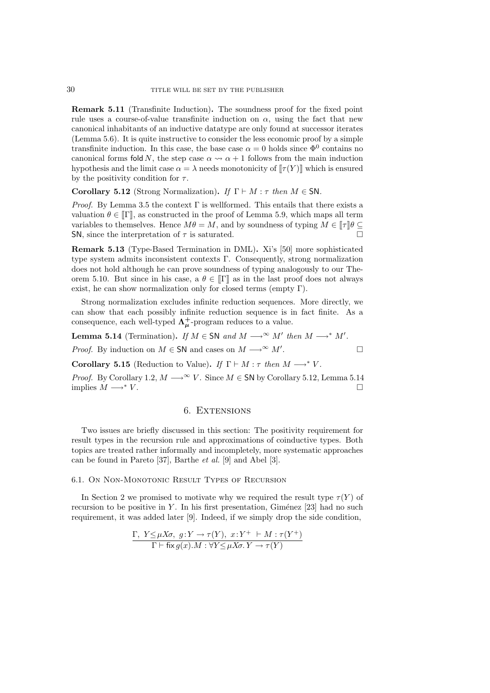Remark 5.11 (Transfinite Induction). The soundness proof for the fixed point rule uses a course-of-value transfinite induction on  $\alpha$ , using the fact that new canonical inhabitants of an inductive datatype are only found at successor iterates (Lemma 5.6). It is quite instructive to consider the less economic proof by a simple transfinite induction. In this case, the base case  $\alpha = 0$  holds since  $\Phi^0$  contains no canonical forms fold N, the step case  $\alpha \rightarrow \alpha + 1$  follows from the main induction hypothesis and the limit case  $\alpha = \lambda$  needs monotonicity of  $[\![\tau(Y)]\!]$  which is ensured by the positivity condition for  $\tau$ .

Corollary 5.12 (Strong Normalization). If  $\Gamma \vdash M : \tau$  then  $M \in SN$ .

*Proof.* By Lemma 3.5 the context  $\Gamma$  is wellformed. This entails that there exists a valuation  $\theta \in [\![\Gamma]\!]$ , as constructed in the proof of Lemma 5.9, which maps all term variables to themselves. Hence  $M\theta = M$ , and by soundness of typing  $M \in \llbracket \tau \rrbracket \theta \subseteq$ SN, since the interpretation of  $\tau$  is saturated.

Remark 5.13 (Type-Based Termination in DML). Xi's [50] more sophisticated type system admits inconsistent contexts  $\Gamma$ . Consequently, strong normalization does not hold although he can prove soundness of typing analogously to our Theorem 5.10. But since in his case, a  $\theta \in \llbracket \Gamma \rrbracket$  as in the last proof does not always exist, he can show normalization only for closed terms (empty  $\Gamma$ ).

Strong normalization excludes infinite reduction sequences. More directly, we can show that each possibly infinite reduction sequence is in fact finite. As a consequence, each well-typed  $\Lambda^+_\mu$ -program reduces to a value.

**Lemma 5.14** (Termination). If  $M \in SN$  and  $M \longrightarrow^{\infty} M'$  then  $M \longrightarrow^* M'$ . *Proof.* By induction on  $M \in SN$  and cases on  $M \longrightarrow^{\infty} M'$ . .

Corollary 5.15 (Reduction to Value). If  $\Gamma \vdash M : \tau$  then  $M \longrightarrow^* V$ .

*Proof.* By Corollary 1.2,  $M \longrightarrow^{\infty} V$ . Since  $M \in SN$  by Corollary 5.12, Lemma 5.14 implies  $M \longrightarrow^* V$ .

## 6. Extensions

Two issues are briefly discussed in this section: The positivity requirement for result types in the recursion rule and approximations of coinductive types. Both topics are treated rather informally and incompletely, more systematic approaches can be found in Pareto [37], Barthe et al. [9] and Abel [3].

### 6.1. On Non-Monotonic Result Types of Recursion

In Section 2 we promised to motivate why we required the result type  $\tau(Y)$  of recursion to be positive in Y. In his first presentation, Giménez  $[23]$  had no such requirement, it was added later [9]. Indeed, if we simply drop the side condition,

$$
\frac{\Gamma, Y \leq \mu X \sigma, g: Y \to \tau(Y), x: Y^+ + M: \tau(Y^+)}{\Gamma \vdash \text{fix } g(x).M: \forall Y \leq \mu X \sigma, Y \to \tau(Y)}
$$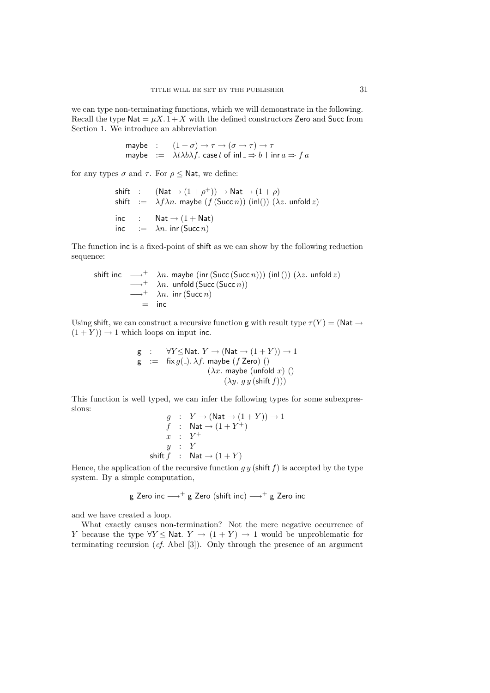we can type non-terminating functions, which we will demonstrate in the following. Recall the type  $\mathsf{Nat} = \mu X. 1 + X$  with the defined constructors Zero and Succ from Section 1. We introduce an abbreviation

\n
$$
\text{maybe} : \quad (1 + \sigma) \to \tau \to (\sigma \to \tau) \to \tau
$$
\n

\n\n $\text{maybe} : \quad \lambda t \lambda b \lambda f.$ \n

\n\n $\text{case } t \text{ of } \text{inl } \Rightarrow b \mid \text{inr } a \Rightarrow f a$ \n

for any types  $\sigma$  and  $\tau$ . For  $\rho \leq$  Nat, we define:

shift : 
$$
(\text{Nat} \rightarrow (1 + \rho^+)) \rightarrow \text{Nat} \rightarrow (1 + \rho)
$$
  
\nshift :=  $\lambda f \lambda n$ . maybe  $(f(\text{Succ } n))$  (inl())  $(\lambda z$ . unfold z)  
\ninc : Nat  $\rightarrow (1 + \text{Nat})$   
\ninc :=  $\lambda n$ . inr (Succ *n*)

The function inc is a fixed-point of shift as we can show by the following reduction sequence:

shift inc 
$$
\longrightarrow^+
$$
  $\lambda n$ . maybe (inr (Succ (Succ n))) (inl()) ( $\lambda z$ . unfold z)  
\n $\longrightarrow^+$   $\lambda n$ . unfold (Succ (Succ n))  
\n $\longrightarrow^+$   $\lambda n$ . inr (Succ n)  
\n= inc

Using shift, we can construct a recursive function g with result type  $\tau(Y) = (\text{Nat} \rightarrow$  $(1 + Y)$   $\rightarrow$  1 which loops on input inc.

> g :  $\forall Y \leq \mathsf{Nat}.\ Y \to (\mathsf{Nat} \to (1+Y)) \to 1$  $g := fix g(.) \cdot \lambda f$ . maybe (f Zero) ()  $(\lambda x.$  maybe (unfold x) ()  $(\lambda y. g y (shift f)))$

This function is well typed, we can infer the following types for some subexpressions:  $(1 \perp V) \rightarrow 1$ 

$$
g : Y \to (\text{Nat} \to (1 + Y)) \to
$$
  
\n
$$
f : \text{Nat} \to (1 + Y^+)
$$
  
\n
$$
x : Y^+
$$
  
\n
$$
y : Y
$$
  
\nshift  $f : \text{Nat} \to (1 + Y)$ 

Hence, the application of the recursive function  $g y$  (shift  $f$ ) is accepted by the type system. By a simple computation,

g Zero inc 
$$
\longrightarrow^+
$$
 g Zero (shift inc)  $\longrightarrow^+$  g Zero inc

and we have created a loop.

What exactly causes non-termination? Not the mere negative occurrence of Y because the type  $\forall Y \leq \mathsf{Nat}$ .  $Y \to (1 + Y) \to 1$  would be unproblematic for terminating recursion (cf. Abel [3]). Only through the presence of an argument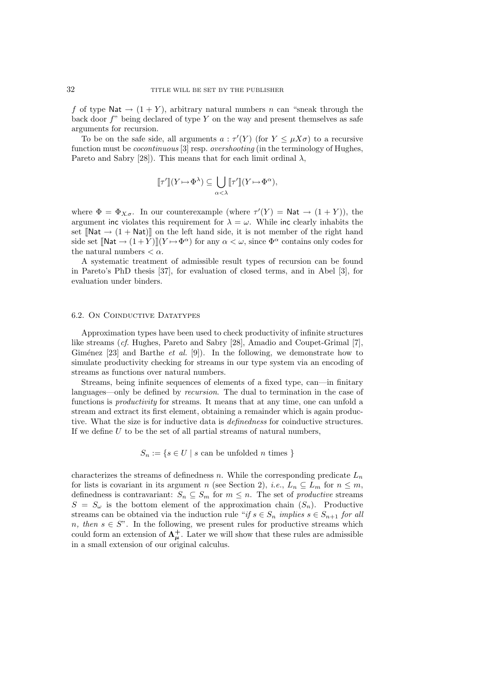f of type Nat  $\rightarrow$   $(1 + Y)$ , arbitrary natural numbers n can "sneak through the back door  $f''$  being declared of type Y on the way and present themselves as safe arguments for recursion.

To be on the safe side, all arguments  $a : \tau'(Y)$  (for  $Y \leq \mu X \sigma$ ) to a recursive function must be *cocontinuous* [3] resp. *overshooting* (in the terminology of Hughes, Pareto and Sabry [28]). This means that for each limit ordinal  $\lambda$ ,

$$
[\![\tau']\!](Y \!\mapsto\! \Phi^\lambda) \subseteq \bigcup_{\alpha < \lambda} [\![\tau']\!](Y \!\mapsto\! \Phi^\alpha),
$$

where  $\Phi = \Phi_{X,\sigma}$ . In our counterexample (where  $\tau'(Y) = \mathsf{Nat} \to (1+Y)$ ), the argument inc violates this requirement for  $\lambda = \omega$ . While inc clearly inhabits the set  $[**Nat** \rightarrow (1 + **Nat**)]$  on the left hand side, it is not member of the right hand side set  $[\mathbb{N}at \to (1+Y)][(Y \to \Phi^{\alpha})$  for any  $\alpha < \omega$ , since  $\Phi^{\alpha}$  contains only codes for the natural numbers  $< \alpha$ .

A systematic treatment of admissible result types of recursion can be found in Pareto's PhD thesis [37], for evaluation of closed terms, and in Abel [3], for evaluation under binders.

#### 6.2. On Coinductive Datatypes

Approximation types have been used to check productivity of infinite structures like streams (cf. Hughes, Pareto and Sabry [28], Amadio and Coupet-Grimal [7], Giménez [23] and Barthe *et al.* [9]). In the following, we demonstrate how to simulate productivity checking for streams in our type system via an encoding of streams as functions over natural numbers.

Streams, being infinite sequences of elements of a fixed type, can—in finitary languages—only be defined by recursion. The dual to termination in the case of functions is *productivity* for streams. It means that at any time, one can unfold a stream and extract its first element, obtaining a remainder which is again productive. What the size is for inductive data is definedness for coinductive structures. If we define  $U$  to be the set of all partial streams of natural numbers,

 $S_n := \{ s \in U \mid s \text{ can be unfolded } n \text{ times } \}$ 

characterizes the streams of definedness n. While the corresponding predicate  $L_n$ for lists is covariant in its argument n (see Section 2), *i.e.*,  $L_n \subseteq L_m$  for  $n \leq m$ , definedness is contravariant:  $S_n \subseteq S_m$  for  $m \leq n$ . The set of *productive* streams  $S = S_{\omega}$  is the bottom element of the approximation chain  $(S_n)$ . Productive streams can be obtained via the induction rule "if  $s \in S_n$  implies  $s \in S_{n+1}$  for all n, then  $s \in S$ ". In the following, we present rules for productive streams which could form an extension of  $\Lambda^+_\mu$ . Later we will show that these rules are admissible in a small extension of our original calculus.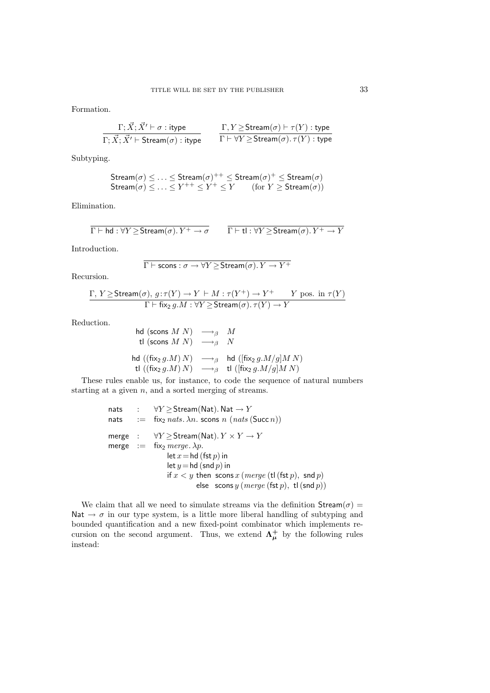Formation.

$$
\frac{\Gamma; \vec{X}; \vec{X'} \vdash \sigma : \text{itype}}{\Gamma; \vec{X}; \vec{X'} \vdash \text{Stream}(\sigma) : \text{itype}} \qquad \frac{\Gamma, Y \geq \text{Stream}(\sigma) \vdash \tau(Y) : \text{type}}{\Gamma \vdash \forall Y \geq \text{Stream}(\sigma) . \tau(Y) : \text{type}}
$$

Subtyping.

$$
Stream(\sigma) \leq \ldots \leq Stream(\sigma)^{++} \leq Stream(\sigma)^{+} \leq Stream(\sigma)
$$
  
Stream( $\sigma$ ) \leq \ldots \leq Y^{++} \leq Y^{+} \leq Y (for  $Y \geq Stream(\sigma)$ )

Elimination.

$$
\overline{\Gamma \vdash \mathsf{hd} : \forall Y \geq \mathsf{Stream}(\sigma).Y^+ \rightarrow \sigma} \qquad \overline{\Gamma \vdash \mathsf{tl} : \forall Y \geq \mathsf{Stream}(\sigma).Y^+ \rightarrow Y}
$$

Introduction.

$$
\overline{\Gamma \vdash \textsf{scons} : \sigma \to \forall Y \, \textcolor{red}{\geq} \, \textsf{Stream}(\sigma).Y \to Y^+}
$$

Recursion.

$$
\frac{\Gamma, Y \geq \text{Stream}(\sigma), g: \tau(Y) \to Y \vdash M : \tau(Y^+) \to Y^+ \qquad Y \text{ pos. in } \tau(Y)}{\Gamma \vdash \text{fix}_2 g.M : \forall Y \geq \text{Stream}(\sigma). \tau(Y) \to Y}
$$

Reduction.

$$
\begin{array}{ll}\n\text{hd (scons } M \ N) & \longrightarrow_{\beta} \quad M \\
\text{tl (scons } M \ N) & \longrightarrow_{\beta} \quad N \\
\text{hd ((fix}_{2} \ g.M) \ N) & \longrightarrow_{\beta} \quad \text{hd ([fix}_{2} \ g.M/g] M \ N) \\
\text{tl ((fix}_{2} \ g.M) \ N) & \longrightarrow_{\beta} \quad \text{tl ([fix}_{2} \ g.M/g] M \ N)\n\end{array}
$$

These rules enable us, for instance, to code the sequence of natural numbers starting at a given  $n$ , and a sorted merging of streams.

nats : 
$$
\forall Y \geq \text{Stream}(\text{Nat}) \cdot \text{Nat} \rightarrow Y
$$
  
\nnats : = fix<sub>2</sub> nats.  $\lambda n$ . scons n (nats (Succ n))  
\nmerge :  $\forall Y \geq \text{Stream}(\text{Nat}) \cdot Y \times Y \rightarrow Y$   
\nmerge : = fix<sub>2</sub> merge.  $\lambda p$ .  
\nlet  $x = \text{hd}(\text{fst } p)$  in  
\nlet  $y = \text{hd}(\text{snd } p)$  in  
\nif  $x < y$  then  $\text{sons } x$  (merge (tl (fst  $p$ ),  $\text{snd } p$ )  
\nelse  $\text{sons } y$  (merge (fst  $p$ ), tl (snd  $p$ ))

We claim that all we need to simulate streams via the definition  $Stream(\sigma) =$ Nat  $\rightarrow \sigma$  in our type system, is a little more liberal handling of subtyping and bounded quantification and a new fixed-point combinator which implements recursion on the second argument. Thus, we extend  $\Lambda^{\dagger}_{\mu}$  by the following rules instead: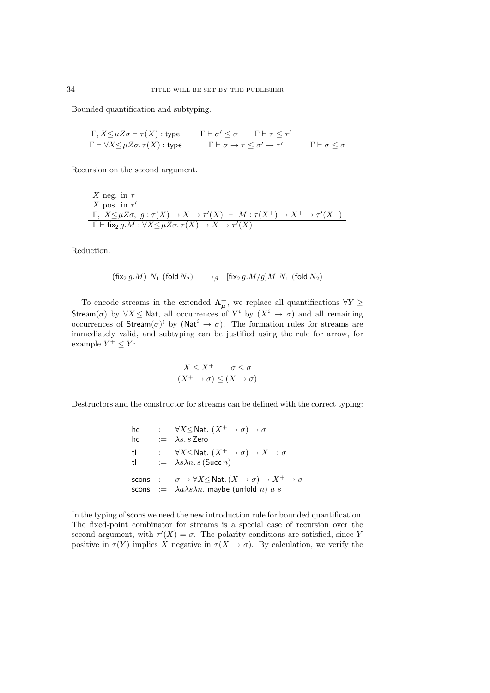Bounded quantification and subtyping.

$$
\frac{\Gamma, X \leq \mu Z \sigma \vdash \tau(X) : \text{type}}{\Gamma \vdash \forall X \leq \mu Z \sigma. \tau(X) : \text{type}} \qquad \frac{\Gamma \vdash \sigma' \leq \sigma \qquad \Gamma \vdash \tau \leq \tau'}{\Gamma \vdash \sigma \rightarrow \tau \leq \sigma' \rightarrow \tau'} \qquad \frac{}{\Gamma \vdash \sigma \leq \sigma}
$$

Recursion on the second argument.

X neg. in 
$$
\tau
$$
  
\nX pos. in  $\tau'$   
\n $\Gamma$ ,  $X \leq \mu Z \sigma$ ,  $g : \tau(X) \to X \to \tau'(X) \vdash M : \tau(X^+) \to X^+ \to \tau'(X^+)$   
\n $\Gamma \vdash \text{fix}_2 g.M : \forall X \leq \mu Z \sigma. \tau(X) \to X \to \tau'(X)$ 

Reduction.

$$
\left(\text{fix}_{2} \, g.M \right) \, N_{1} \, \left(\text{fold} \, N_{2} \right) \quad \longrightarrow_{\beta} \quad \left[\text{fix}_{2} \, g.M/g \right] \! M \, \, N_{1} \, \left(\text{fold} \, N_{2} \right)
$$

To encode streams in the extended  $\Lambda^+_\mu$ , we replace all quantifications  $\forall Y \geq$ Stream( $\sigma$ ) by  $\forall X \leq \mathsf{Nat}$ , all occurrences of  $Y^i$  by  $(X^i \to \sigma)$  and all remaining occurrences of Stream $(\sigma)^i$  by (Nat<sup>i</sup>  $\rightarrow \sigma$ ). The formation rules for streams are immediately valid, and subtyping can be justified using the rule for arrow, for example  $Y^+ \leq Y$ :

$$
\frac{X \le X^+ \qquad \sigma \le \sigma}{(X^+ \to \sigma) \le (X \to \sigma)}
$$

Destructors and the constructor for streams can be defined with the correct typing:

$$
\begin{array}{lll} \mathsf{hd} & : & \forall X {\leq} \mathsf{Nat}. \ (X^+ \to \sigma) \to \sigma \\ \mathsf{hd} & := & \lambda s.\,s\, \mathsf{Zero} \\ \mathsf{tl} & : & \forall X {\leq} \mathsf{Nat}. \ (X^+ \to \sigma) \to X \to \sigma \\ \mathsf{tl} & := & \lambda s \lambda n.\,s\,(\mathsf{Succ}\,n) \\ \mathsf{scons} & : & \sigma \to \forall X {\leq} \mathsf{Nat}. \ (X \to \sigma) \to X^+ \to \sigma \\ \mathsf{scons} & := & \lambda a \lambda s \lambda n.\ \mathsf{maybe} \ (\mathsf{unfold}\,n)\ a\ s \end{array}
$$

In the typing of scons we need the new introduction rule for bounded quantification. The fixed-point combinator for streams is a special case of recursion over the second argument, with  $\tau'(X) = \sigma$ . The polarity conditions are satisfied, since Y positive in  $\tau(Y)$  implies X negative in  $\tau(X \to \sigma)$ . By calculation, we verify the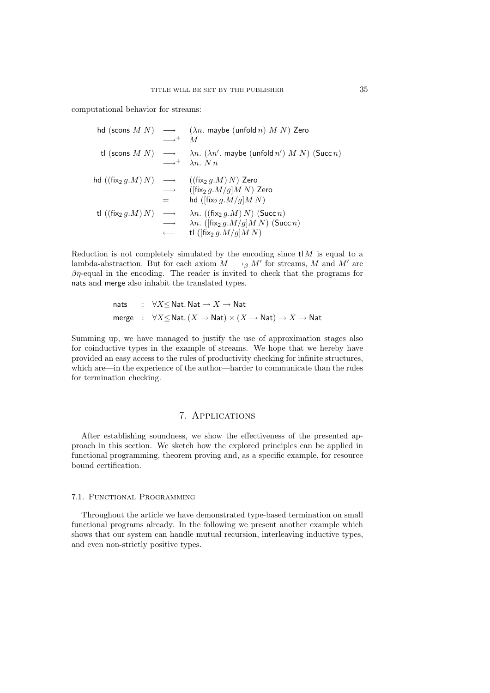computational behavior for streams:

|                                      | $\longrightarrow^+$ M        | hd (scons $M(N) \longrightarrow (\lambda n.$ maybe (unfold n) $M(N)$ Zero                                                                         |
|--------------------------------------|------------------------------|---------------------------------------------------------------------------------------------------------------------------------------------------|
|                                      |                              | tl (scons $M N$ ) $\longrightarrow \lambda n. (\lambda n'.$ maybe (unfold $n'$ ) $M N$ ) (Succ $n$ )<br>$\longrightarrow^+$ $\lambda n$ . N n.    |
|                                      | $\longrightarrow$<br>$=$ $-$ | hd $((fix_2 g.M) N) \longrightarrow ((fix_2 g.M) N)$ Zero<br>$(\lceil \text{fix}_2 g.M/g \rceil M N)$ Zero<br>hd ( $[\text{fix}_2 g.M/g]M N$ )    |
| tl $((fix_2 g.M) N) \longrightarrow$ | $\longrightarrow$            | $\lambda n.$ ((fix <sub>2</sub> g.M) N) (Succ n)<br>$\lambda n.$ ([fix <sub>2</sub> g.M/g]M N) (Succ n)<br>tl ([fix <sub>2</sub> $q.M/q$ ] $MN$ ] |

Reduction is not completely simulated by the encoding since  $t M$  is equal to a lambda-abstraction. But for each axiom  $M \longrightarrow_{\beta} M'$  for streams, M and M' are  $\beta\eta$ -equal in the encoding. The reader is invited to check that the programs for nats and merge also inhabit the translated types.

$$
\begin{array}{lcl} \mathsf{nats} & : & \forall X \leq \mathsf{Nat}.\, \mathsf{Nat} \rightarrow X \rightarrow \mathsf{Nat} \\ \mathsf{merge} & : & \forall X \leq \mathsf{Nat}.\, (X \rightarrow \mathsf{Nat}) \times (X \rightarrow \mathsf{Nat}) \rightarrow X \rightarrow \mathsf{Nat} \end{array}
$$

Summing up, we have managed to justify the use of approximation stages also for coinductive types in the example of streams. We hope that we hereby have provided an easy access to the rules of productivity checking for infinite structures, which are—in the experience of the author—harder to communicate than the rules for termination checking.

# 7. Applications

After establishing soundness, we show the effectiveness of the presented approach in this section. We sketch how the explored principles can be applied in functional programming, theorem proving and, as a specific example, for resource bound certification.

#### 7.1. Functional Programming

Throughout the article we have demonstrated type-based termination on small functional programs already. In the following we present another example which shows that our system can handle mutual recursion, interleaving inductive types, and even non-strictly positive types.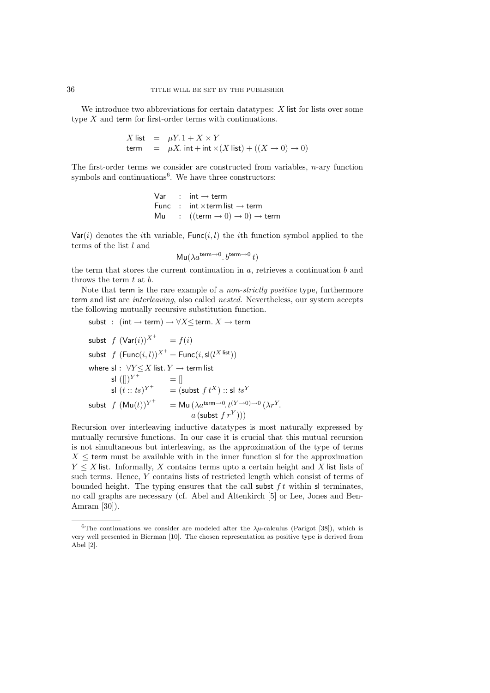We introduce two abbreviations for certain datatypes:  $X$  list for lists over some type X and term for first-order terms with continuations.

$$
X \text{ list } = \mu Y. 1 + X \times Y
$$
  
term =  $\mu X. \text{ int} + \text{ int} \times (X \text{ list}) + ((X \rightarrow 0) \rightarrow 0)$ 

The first-order terms we consider are constructed from variables,  $n$ -ary function symbols and continuations<sup>6</sup>. We have three constructors:

$$
Var : int \rightarrow term
$$
  
Func : int \times term list \rightarrow term  
Mu : ((term \rightarrow 0) \rightarrow 0) \rightarrow term

 $Var(i)$  denotes the *i*th variable,  $Func(i, l)$  the *i*th function symbol applied to the terms of the list  $l$  and

$$
Mu(\lambda a^{\text{term}\to 0}.b^{\text{term}\to 0}t)
$$

the term that stores the current continuation in  $a$ , retrieves a continuation  $b$  and throws the term t at b.

Note that term is the rare example of a *non-strictly positive* type, furthermore term and list are interleaving, also called nested. Nevertheless, our system accepts the following mutually recursive substitution function.

subst : (int → term) → ∀X≤term. X → term subst f (Var(i))<sup>X</sup><sup>+</sup> = f(i) subst f (Func(i, l))<sup>X</sup><sup>+</sup> = Func(i,sl(l <sup>X</sup> list)) where sl : ∀Y ≤X list. Y → term list sl ([])<sup>Y</sup> + = [] sl (t :: ts) Y + = (subst f t<sup>X</sup>) :: sl ts<sup>Y</sup> subst f (Mu(t))<sup>Y</sup> + = Mu (λaterm→<sup>0</sup> . t(<sup>Y</sup> <sup>→</sup>0)→<sup>0</sup> (λr<sup>Y</sup> . a (subst f r<sup>Y</sup> )))

Recursion over interleaving inductive datatypes is most naturally expressed by mutually recursive functions. In our case it is crucial that this mutual recursion is not simultaneous but interleaving, as the approximation of the type of terms  $X \leq$  term must be available with in the inner function sl for the approximation  $Y \leq X$  list. Informally, X contains terms upto a certain height and X list lists of such terms. Hence, Y contains lists of restricted length which consist of terms of bounded height. The typing ensures that the call subst  $ft$  within sl terminates, no call graphs are necessary (cf. Abel and Altenkirch [5] or Lee, Jones and Ben-Amram [30]).

<sup>&</sup>lt;sup>6</sup>The continuations we consider are modeled after the  $\lambda \mu$ -calculus (Parigot [38]), which is very well presented in Bierman [10]. The chosen representation as positive type is derived from Abel [2].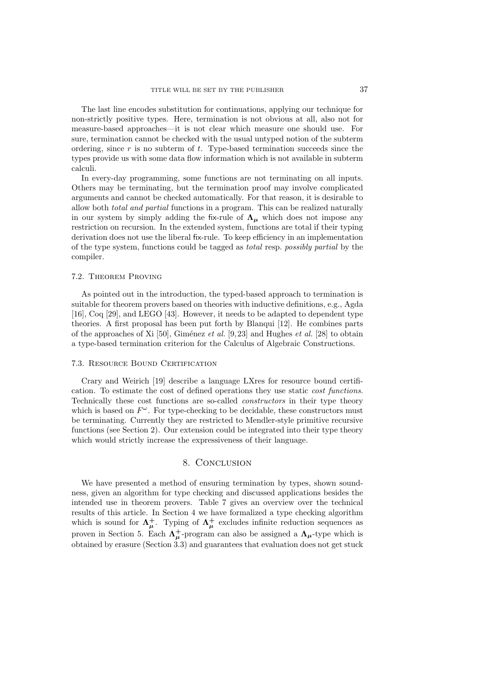The last line encodes substitution for continuations, applying our technique for non-strictly positive types. Here, termination is not obvious at all, also not for measure-based approaches—it is not clear which measure one should use. For sure, termination cannot be checked with the usual untyped notion of the subterm ordering, since  $r$  is no subterm of  $t$ . Type-based termination succeeds since the types provide us with some data flow information which is not available in subterm calculi.

In every-day programming, some functions are not terminating on all inputs. Others may be terminating, but the termination proof may involve complicated arguments and cannot be checked automatically. For that reason, it is desirable to allow both total and partial functions in a program. This can be realized naturally in our system by simply adding the fix-rule of  $\Lambda_{\mu}$  which does not impose any restriction on recursion. In the extended system, functions are total if their typing derivation does not use the liberal fix-rule. To keep efficiency in an implementation of the type system, functions could be tagged as total resp. possibly partial by the compiler.

### 7.2. Theorem Proving

As pointed out in the introduction, the typed-based approach to termination is suitable for theorem provers based on theories with inductive definitions, e.g., Agda [16], Coq [29], and LEGO [43]. However, it needs to be adapted to dependent type theories. A first proposal has been put forth by Blanqui [12]. He combines parts of the approaches of Xi [50], Giménez et al. [9, 23] and Hughes et al. [28] to obtain a type-based termination criterion for the Calculus of Algebraic Constructions.

#### 7.3. Resource Bound Certification

Crary and Weirich [19] describe a language LXres for resource bound certification. To estimate the cost of defined operations they use static cost functions. Technically these cost functions are so-called constructors in their type theory which is based on  $F^{\omega}$ . For type-checking to be decidable, these constructors must be terminating. Currently they are restricted to Mendler-style primitive recursive functions (see Section 2). Our extension could be integrated into their type theory which would strictly increase the expressiveness of their language.

## 8. CONCLUSION

We have presented a method of ensuring termination by types, shown soundness, given an algorithm for type checking and discussed applications besides the intended use in theorem provers. Table 7 gives an overview over the technical results of this article. In Section 4 we have formalized a type checking algorithm which is sound for  $\Lambda^+_\mu$ . Typing of  $\Lambda^+_\mu$  excludes infinite reduction sequences as proven in Section 5. Each  $\Lambda^+_\mu$ -program can also be assigned a  $\Lambda_\mu$ -type which is obtained by erasure (Section 3.3) and guarantees that evaluation does not get stuck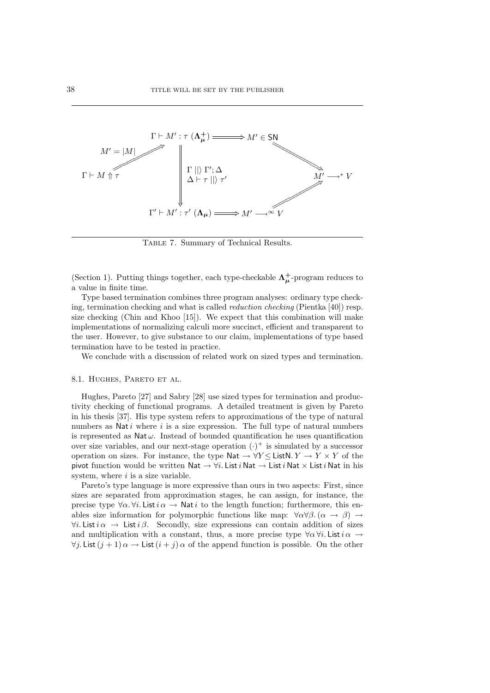

Table 7. Summary of Technical Results.

(Section 1). Putting things together, each type-checkable  $\Lambda^+_\mu$ -program reduces to a value in finite time.

Type based termination combines three program analyses: ordinary type checking, termination checking and what is called reduction checking (Pientka [40]) resp. size checking (Chin and Khoo [15]). We expect that this combination will make implementations of normalizing calculi more succinct, efficient and transparent to the user. However, to give substance to our claim, implementations of type based termination have to be tested in practice.

We conclude with a discussion of related work on sized types and termination.

#### 8.1. HUGHES, PARETO ET AL.

Hughes, Pareto [27] and Sabry [28] use sized types for termination and productivity checking of functional programs. A detailed treatment is given by Pareto in his thesis [37]. His type system refers to approximations of the type of natural numbers as Nati where  $i$  is a size expression. The full type of natural numbers is represented as  $\mathsf{Nat}\,\omega$ . Instead of bounded quantification he uses quantification over size variables, and our next-stage operation  $(\cdot)^+$  is simulated by a successor operation on sizes. For instance, the type  $\mathsf{Nat} \to \forall Y \leq \mathsf{ListN}\, Y \to Y \times Y$  of the pivot function would be written Nat  $\rightarrow \forall i$ . List *i* Nat  $\rightarrow$  List *i* Nat  $\times$  List *i* Nat in his system, where  $i$  is a size variable.

Pareto's type language is more expressive than ours in two aspects: First, since sizes are separated from approximation stages, he can assign, for instance, the precise type  $\forall \alpha$ .  $\forall i$ . List  $i \alpha \rightarrow \mathsf{Nat } i$  to the length function; furthermore, this enables size information for polymorphic functions like map:  $\forall \alpha \forall \beta$ . ( $\alpha \rightarrow \beta$ )  $\rightarrow$  $\forall i.$  List  $i \alpha \rightarrow$  List  $i \beta$ . Secondly, size expressions can contain addition of sizes and multiplication with a constant, thus, a more precise type  $\forall \alpha \forall i$ . List  $i \alpha \rightarrow$  $\forall j$ . List  $(j + 1) \alpha \rightarrow$  List  $(i + j) \alpha$  of the append function is possible. On the other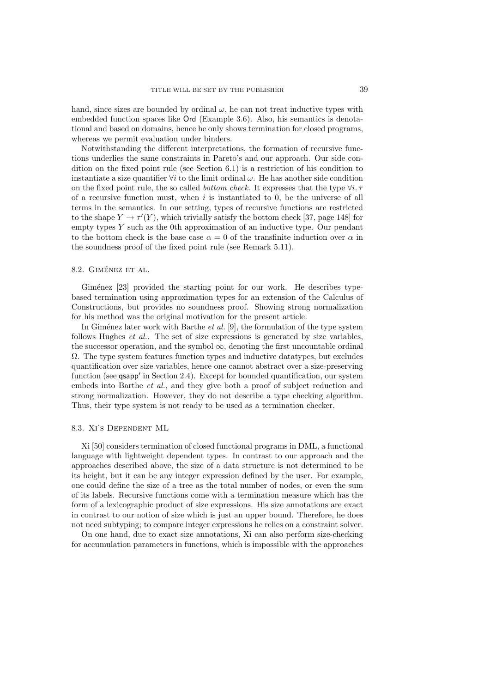hand, since sizes are bounded by ordinal  $\omega$ , he can not treat inductive types with embedded function spaces like Ord (Example 3.6). Also, his semantics is denotational and based on domains, hence he only shows termination for closed programs, whereas we permit evaluation under binders.

Notwithstanding the different interpretations, the formation of recursive functions underlies the same constraints in Pareto's and our approach. Our side condition on the fixed point rule (see Section 6.1) is a restriction of his condition to instantiate a size quantifier  $\forall i$  to the limit ordinal  $\omega$ . He has another side condition on the fixed point rule, the so called *bottom check*. It expresses that the type  $\forall i$ . of a recursive function must, when  $i$  is instantiated to 0, be the universe of all terms in the semantics. In our setting, types of recursive functions are restricted to the shape  $Y \to \tau'(Y)$ , which trivially satisfy the bottom check [37, page 148] for empty types  $Y$  such as the 0th approximation of an inductive type. Our pendant to the bottom check is the base case  $\alpha = 0$  of the transfinite induction over  $\alpha$  in the soundness proof of the fixed point rule (see Remark 5.11).

#### 8.2. GIMÉNEZ ET AL.

Giménez [23] provided the starting point for our work. He describes typebased termination using approximation types for an extension of the Calculus of Constructions, but provides no soundness proof. Showing strong normalization for his method was the original motivation for the present article.

In Gimeting later work with Barthe et al. [9], the formulation of the type system follows Hughes et al.. The set of size expressions is generated by size variables, the successor operation, and the symbol  $\infty$ , denoting the first uncountable ordinal  $\Omega$ . The type system features function types and inductive datatypes, but excludes quantification over size variables, hence one cannot abstract over a size-preserving function (see qsapp' in Section 2.4). Except for bounded quantification, our system embeds into Barthe *et al.*, and they give both a proof of subject reduction and strong normalization. However, they do not describe a type checking algorithm. Thus, their type system is not ready to be used as a termination checker.

#### 8.3. Xi's Dependent ML

Xi [50] considers termination of closed functional programs in DML, a functional language with lightweight dependent types. In contrast to our approach and the approaches described above, the size of a data structure is not determined to be its height, but it can be any integer expression defined by the user. For example, one could define the size of a tree as the total number of nodes, or even the sum of its labels. Recursive functions come with a termination measure which has the form of a lexicographic product of size expressions. His size annotations are exact in contrast to our notion of size which is just an upper bound. Therefore, he does not need subtyping; to compare integer expressions he relies on a constraint solver.

On one hand, due to exact size annotations, Xi can also perform size-checking for accumulation parameters in functions, which is impossible with the approaches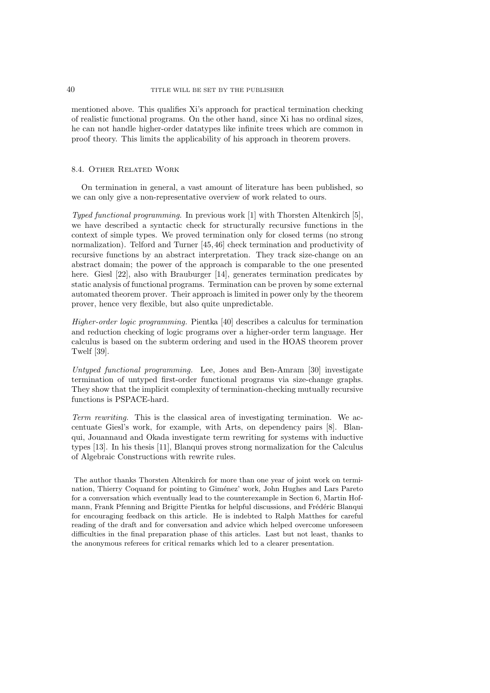mentioned above. This qualifies Xi's approach for practical termination checking of realistic functional programs. On the other hand, since Xi has no ordinal sizes, he can not handle higher-order datatypes like infinite trees which are common in proof theory. This limits the applicability of his approach in theorem provers.

## 8.4. Other Related Work

On termination in general, a vast amount of literature has been published, so we can only give a non-representative overview of work related to ours.

Typed functional programming. In previous work [1] with Thorsten Altenkirch [5], we have described a syntactic check for structurally recursive functions in the context of simple types. We proved termination only for closed terms (no strong normalization). Telford and Turner [45, 46] check termination and productivity of recursive functions by an abstract interpretation. They track size-change on an abstract domain; the power of the approach is comparable to the one presented here. Giesl [22], also with Brauburger [14], generates termination predicates by static analysis of functional programs. Termination can be proven by some external automated theorem prover. Their approach is limited in power only by the theorem prover, hence very flexible, but also quite unpredictable.

Higher-order logic programming. Pientka [40] describes a calculus for termination and reduction checking of logic programs over a higher-order term language. Her calculus is based on the subterm ordering and used in the HOAS theorem prover Twelf [39].

Untyped functional programming. Lee, Jones and Ben-Amram [30] investigate termination of untyped first-order functional programs via size-change graphs. They show that the implicit complexity of termination-checking mutually recursive functions is PSPACE-hard.

Term rewriting. This is the classical area of investigating termination. We accentuate Giesl's work, for example, with Arts, on dependency pairs [8]. Blanqui, Jouannaud and Okada investigate term rewriting for systems with inductive types [13]. In his thesis [11], Blanqui proves strong normalization for the Calculus of Algebraic Constructions with rewrite rules.

The author thanks Thorsten Altenkirch for more than one year of joint work on termination, Thierry Coquand for pointing to Giménez' work, John Hughes and Lars Pareto for a conversation which eventually lead to the counterexample in Section 6, Martin Hofmann, Frank Pfenning and Brigitte Pientka for helpful discussions, and Frédéric Blanqui for encouraging feedback on this article. He is indebted to Ralph Matthes for careful reading of the draft and for conversation and advice which helped overcome unforeseen difficulties in the final preparation phase of this articles. Last but not least, thanks to the anonymous referees for critical remarks which led to a clearer presentation.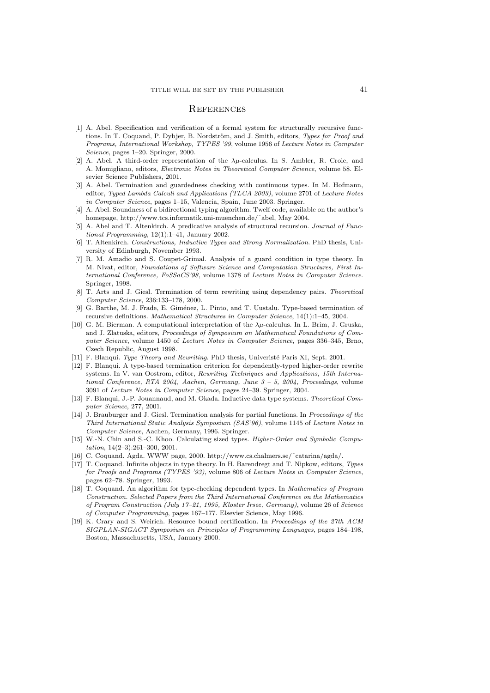#### **REFERENCES**

- [1] A. Abel. Specification and verification of a formal system for structurally recursive functions. In T. Coquand, P. Dybjer, B. Nordström, and J. Smith, editors, Types for Proof and Programs, International Workshop, TYPES '99, volume 1956 of Lecture Notes in Computer Science, pages 1–20. Springer, 2000.
- [2] A. Abel. A third-order representation of the  $\lambda \mu$ -calculus. In S. Ambler, R. Crole, and A. Momigliano, editors, Electronic Notes in Theoretical Computer Science, volume 58. Elsevier Science Publishers, 2001.
- [3] A. Abel. Termination and guardedness checking with continuous types. In M. Hofmann, editor, Typed Lambda Calculi and Applications (TLCA 2003), volume 2701 of Lecture Notes in Computer Science, pages 1–15, Valencia, Spain, June 2003. Springer.
- [4] A. Abel. Soundness of a bidirectional typing algorithm. Twelf code, available on the author's homepage, http://www.tcs.informatik.uni-muenchen.de/˜abel, May 2004.
- [5] A. Abel and T. Altenkirch. A predicative analysis of structural recursion. Journal of Functional Programming, 12(1):1–41, January 2002.
- [6] T. Altenkirch. Constructions, Inductive Types and Strong Normalization. PhD thesis, University of Edinburgh, November 1993.
- [7] R. M. Amadio and S. Coupet-Grimal. Analysis of a guard condition in type theory. In M. Nivat, editor, Foundations of Software Science and Computation Structures, First International Conference, FoSSaCS'98, volume 1378 of Lecture Notes in Computer Science. Springer, 1998.
- [8] T. Arts and J. Giesl. Termination of term rewriting using dependency pairs. Theoretical Computer Science, 236:133–178, 2000.
- [9] G. Barthe, M. J. Frade, E. Giménez, L. Pinto, and T. Uustalu. Type-based termination of recursive definitions. Mathematical Structures in Computer Science, 14(1):1–45, 2004.
- [10] G. M. Bierman. A computational interpretation of the  $\lambda \mu$ -calculus. In L. Brim, J. Gruska, and J. Zlatuska, editors, Proceedings of Symposium on Mathematical Foundations of Computer Science, volume 1450 of Lecture Notes in Computer Science, pages 336–345, Brno, Czech Republic, August 1998.
- [11] F. Blanqui. Type Theory and Rewriting. PhD thesis, Univeristé Paris XI, Sept. 2001.
- [12] F. Blanqui. A type-based termination criterion for dependently-typed higher-order rewrite systems. In V. van Oostrom, editor, Rewriting Techniques and Applications, 15th International Conference, RTA 2004, Aachen, Germany, June 3 – 5, 2004, Proceedings, volume 3091 of Lecture Notes in Computer Science, pages 24–39. Springer, 2004.
- [13] F. Blanqui, J.-P. Jouannaud, and M. Okada. Inductive data type systems. Theoretical Computer Science, 277, 2001.
- [14] J. Brauburger and J. Giesl. Termination analysis for partial functions. In Proceedings of the Third International Static Analysis Symposium (SAS'96), volume 1145 of Lecture Notes in Computer Science, Aachen, Germany, 1996. Springer.
- [15] W.-N. Chin and S.-C. Khoo. Calculating sized types. Higher-Order and Symbolic Computation, 14(2–3):261–300, 2001.
- [16] C. Coquand. Agda. WWW page, 2000. http://www.cs.chalmers.se/˜catarina/agda/.
- [17] T. Coquand. Infinite objects in type theory. In H. Barendregt and T. Nipkow, editors, Types for Proofs and Programs (TYPES '93), volume 806 of Lecture Notes in Computer Science, pages 62–78. Springer, 1993.
- [18] T. Coquand. An algorithm for type-checking dependent types. In Mathematics of Program Construction. Selected Papers from the Third International Conference on the Mathematics of Program Construction (July 17–21, 1995, Kloster Irsee, Germany), volume 26 of Science of Computer Programming, pages 167–177. Elsevier Science, May 1996.
- [19] K. Crary and S. Weirich. Resource bound certification. In Proceedings of the 27th ACM SIGPLAN-SIGACT Symposium on Principles of Programming Languages, pages 184–198, Boston, Massachusetts, USA, January 2000.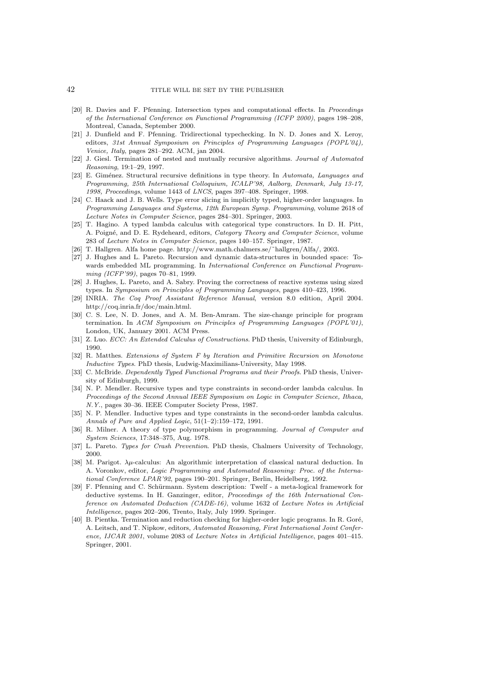- [20] R. Davies and F. Pfenning. Intersection types and computational effects. In Proceedings of the International Conference on Functional Programming (ICFP 2000), pages 198–208, Montreal, Canada, September 2000.
- [21] J. Dunfield and F. Pfenning. Tridirectional typechecking. In N. D. Jones and X. Leroy, editors, 31st Annual Symposium on Principles of Programming Languages (POPL'04), Venice, Italy, pages 281–292. ACM, jan 2004.
- [22] J. Giesl. Termination of nested and mutually recursive algorithms. Journal of Automated Reasoning, 19:1–29, 1997.
- [23] E. Giménez. Structural recursive definitions in type theory. In Automata, Languages and Programming, 25th International Colloquium, ICALP'98, Aalborg, Denmark, July 13-17, 1998, Proceedings, volume 1443 of LNCS, pages 397–408. Springer, 1998.
- [24] C. Haack and J. B. Wells. Type error slicing in implicitly typed, higher-order languages. In Programming Languages and Systems, 12th European Symp. Programming, volume 2618 of Lecture Notes in Computer Science, pages 284–301. Springer, 2003.
- [25] T. Hagino. A typed lambda calculus with categorical type constructors. In D. H. Pitt, A. Poigné, and D. E. Rydeheard, editors, Category Theory and Computer Science, volume 283 of Lecture Notes in Computer Science, pages 140–157. Springer, 1987.
- [26] T. Hallgren. Alfa home page. http://www.math.chalmers.se/˜hallgren/Alfa/, 2003.
- [27] J. Hughes and L. Pareto. Recursion and dynamic data-structures in bounded space: Towards embedded ML programming. In International Conference on Functional Programming (ICFP'99), pages 70–81, 1999.
- [28] J. Hughes, L. Pareto, and A. Sabry. Proving the correctness of reactive systems using sized types. In Symposium on Principles of Programming Languages, pages 410–423, 1996.
- [29] INRIA. The Coq Proof Assistant Reference Manual, version 8.0 edition, April 2004. http://coq.inria.fr/doc/main.html.
- [30] C. S. Lee, N. D. Jones, and A. M. Ben-Amram. The size-change principle for program termination. In ACM Symposium on Principles of Programming Languages (POPL'01), London, UK, January 2001. ACM Press.
- [31] Z. Luo. ECC: An Extended Calculus of Constructions. PhD thesis, University of Edinburgh, 1990.
- [32] R. Matthes. Extensions of System F by Iteration and Primitive Recursion on Monotone Inductive Types. PhD thesis, Ludwig-Maximilians-University, May 1998.
- [33] C. McBride. *Dependently Typed Functional Programs and their Proofs*. PhD thesis, University of Edinburgh, 1999.
- [34] N. P. Mendler. Recursive types and type constraints in second-order lambda calculus. In Proceedings of the Second Annual IEEE Symposium on Logic in Computer Science, Ithaca, N.Y., pages 30–36. IEEE Computer Society Press, 1987.
- [35] N. P. Mendler. Inductive types and type constraints in the second-order lambda calculus. Annals of Pure and Applied Logic, 51(1–2):159–172, 1991.
- [36] R. Milner. A theory of type polymorphism in programming. Journal of Computer and System Sciences, 17:348–375, Aug. 1978.
- [37] L. Pareto. Types for Crash Prevention. PhD thesis, Chalmers University of Technology, 2000.
- [38] M. Parigot.  $\lambda \mu$ -calculus: An algorithmic interpretation of classical natural deduction. In A. Voronkov, editor, Logic Programming and Automated Reasoning: Proc. of the International Conference LPAR'92, pages 190–201. Springer, Berlin, Heidelberg, 1992.
- [39] F. Pfenning and C. Schürmann. System description: Twelf a meta-logical framework for deductive systems. In H. Ganzinger, editor, Proceedings of the 16th International Conference on Automated Deduction (CADE-16), volume 1632 of Lecture Notes in Artificial Intelligence, pages 202–206, Trento, Italy, July 1999. Springer.
- [40] B. Pientka. Termination and reduction checking for higher-order logic programs. In R. Goré, A. Leitsch, and T. Nipkow, editors, Automated Reasoning, First International Joint Conference, IJCAR 2001, volume 2083 of Lecture Notes in Artificial Intelligence, pages 401–415. Springer, 2001.